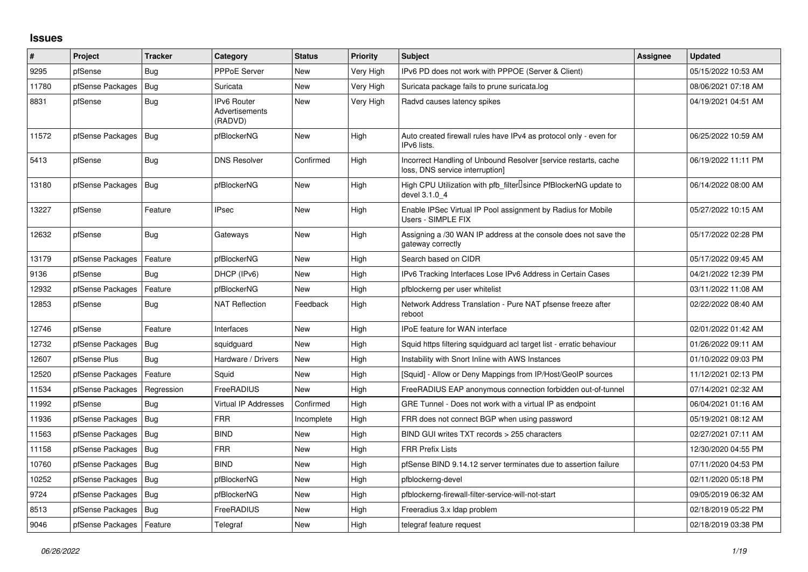## **Issues**

| #     | Project                    | <b>Tracker</b> | Category                                        | <b>Status</b> | <b>Priority</b> | <b>Subject</b>                                                                                     | <b>Assignee</b> | <b>Updated</b>      |
|-------|----------------------------|----------------|-------------------------------------------------|---------------|-----------------|----------------------------------------------------------------------------------------------------|-----------------|---------------------|
| 9295  | pfSense                    | Bug            | PPPoE Server                                    | New           | Very High       | IPv6 PD does not work with PPPOE (Server & Client)                                                 |                 | 05/15/2022 10:53 AM |
| 11780 | pfSense Packages           | Bug            | Suricata                                        | New           | Very High       | Suricata package fails to prune suricata.log                                                       |                 | 08/06/2021 07:18 AM |
| 8831  | pfSense                    | Bug            | <b>IPv6 Router</b><br>Advertisements<br>(RADVD) | New           | Very High       | Radvd causes latency spikes                                                                        |                 | 04/19/2021 04:51 AM |
| 11572 | pfSense Packages           | <b>Bug</b>     | pfBlockerNG                                     | New           | High            | Auto created firewall rules have IPv4 as protocol only - even for<br>IPv6 lists.                   |                 | 06/25/2022 10:59 AM |
| 5413  | pfSense                    | Bug            | <b>DNS Resolver</b>                             | Confirmed     | High            | Incorrect Handling of Unbound Resolver [service restarts, cache<br>loss, DNS service interruption] |                 | 06/19/2022 11:11 PM |
| 13180 | pfSense Packages           | Bug            | pfBlockerNG                                     | New           | High            | High CPU Utilization with pfb_filter <sup>[]</sup> since PfBlockerNG update to<br>devel 3.1.0 4    |                 | 06/14/2022 08:00 AM |
| 13227 | pfSense                    | Feature        | <b>IPsec</b>                                    | New           | High            | Enable IPSec Virtual IP Pool assignment by Radius for Mobile<br>Users - SIMPLE FIX                 |                 | 05/27/2022 10:15 AM |
| 12632 | pfSense                    | Bug            | Gateways                                        | <b>New</b>    | High            | Assigning a /30 WAN IP address at the console does not save the<br>gateway correctly               |                 | 05/17/2022 02:28 PM |
| 13179 | pfSense Packages           | Feature        | pfBlockerNG                                     | <b>New</b>    | High            | Search based on CIDR                                                                               |                 | 05/17/2022 09:45 AM |
| 9136  | pfSense                    | Bug            | DHCP (IPv6)                                     | New           | High            | IPv6 Tracking Interfaces Lose IPv6 Address in Certain Cases                                        |                 | 04/21/2022 12:39 PM |
| 12932 | pfSense Packages           | Feature        | pfBlockerNG                                     | New           | High            | pfblockerng per user whitelist                                                                     |                 | 03/11/2022 11:08 AM |
| 12853 | pfSense                    | <b>Bug</b>     | <b>NAT Reflection</b>                           | Feedback      | High            | Network Address Translation - Pure NAT pfsense freeze after<br>reboot                              |                 | 02/22/2022 08:40 AM |
| 12746 | pfSense                    | Feature        | Interfaces                                      | <b>New</b>    | High            | <b>IPoE</b> feature for WAN interface                                                              |                 | 02/01/2022 01:42 AM |
| 12732 | pfSense Packages           | <b>Bug</b>     | squidguard                                      | New           | High            | Squid https filtering squidguard acl target list - erratic behaviour                               |                 | 01/26/2022 09:11 AM |
| 12607 | pfSense Plus               | Bug            | Hardware / Drivers                              | New           | High            | Instability with Snort Inline with AWS Instances                                                   |                 | 01/10/2022 09:03 PM |
| 12520 | pfSense Packages           | Feature        | Squid                                           | <b>New</b>    | High            | [Squid] - Allow or Deny Mappings from IP/Host/GeoIP sources                                        |                 | 11/12/2021 02:13 PM |
| 11534 | pfSense Packages           | Regression     | FreeRADIUS                                      | New           | High            | FreeRADIUS EAP anonymous connection forbidden out-of-tunnel                                        |                 | 07/14/2021 02:32 AM |
| 11992 | pfSense                    | Bug            | <b>Virtual IP Addresses</b>                     | Confirmed     | High            | GRE Tunnel - Does not work with a virtual IP as endpoint                                           |                 | 06/04/2021 01:16 AM |
| 11936 | pfSense Packages           | Bug            | <b>FRR</b>                                      | Incomplete    | High            | FRR does not connect BGP when using password                                                       |                 | 05/19/2021 08:12 AM |
| 11563 | pfSense Packages           | Bug            | <b>BIND</b>                                     | <b>New</b>    | High            | BIND GUI writes TXT records > 255 characters                                                       |                 | 02/27/2021 07:11 AM |
| 11158 | pfSense Packages           | <b>Bug</b>     | <b>FRR</b>                                      | New           | High            | <b>FRR Prefix Lists</b>                                                                            |                 | 12/30/2020 04:55 PM |
| 10760 | pfSense Packages           | Bug            | <b>BIND</b>                                     | <b>New</b>    | High            | pfSense BIND 9.14.12 server terminates due to assertion failure                                    |                 | 07/11/2020 04:53 PM |
| 10252 | pfSense Packages           | Bug            | pfBlockerNG                                     | New           | High            | pfblockerng-devel                                                                                  |                 | 02/11/2020 05:18 PM |
| 9724  | pfSense Packages           | <b>Bug</b>     | pfBlockerNG                                     | New           | High            | pfblockerng-firewall-filter-service-will-not-start                                                 |                 | 09/05/2019 06:32 AM |
| 8513  | pfSense Packages           | <b>Bug</b>     | FreeRADIUS                                      | <b>New</b>    | High            | Freeradius 3.x Idap problem                                                                        |                 | 02/18/2019 05:22 PM |
| 9046  | pfSense Packages   Feature |                | Telegraf                                        | <b>New</b>    | High            | telegraf feature request                                                                           |                 | 02/18/2019 03:38 PM |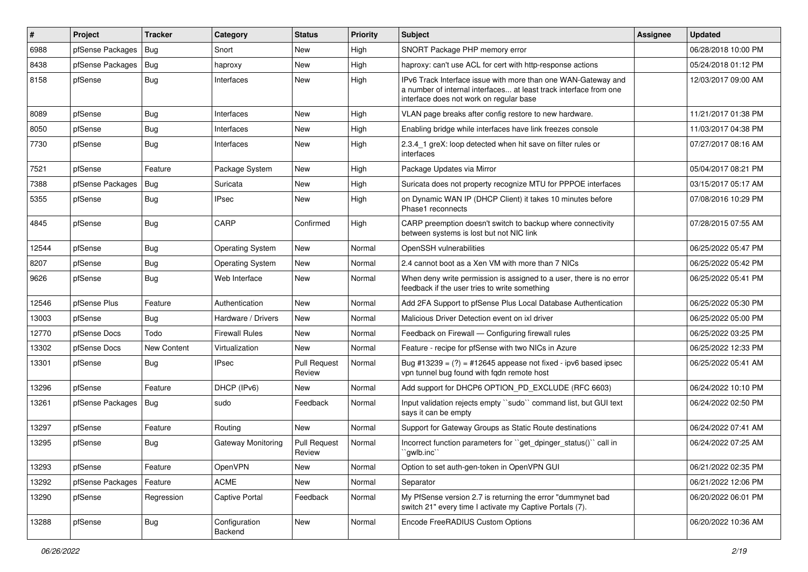| $\vert$ # | Project          | <b>Tracker</b> | Category                 | <b>Status</b>                 | <b>Priority</b> | Subject                                                                                                                                                                       | <b>Assignee</b> | <b>Updated</b>      |
|-----------|------------------|----------------|--------------------------|-------------------------------|-----------------|-------------------------------------------------------------------------------------------------------------------------------------------------------------------------------|-----------------|---------------------|
| 6988      | pfSense Packages | Bug            | Snort                    | New                           | High            | SNORT Package PHP memory error                                                                                                                                                |                 | 06/28/2018 10:00 PM |
| 8438      | pfSense Packages | Bug            | haproxy                  | <b>New</b>                    | High            | haproxy: can't use ACL for cert with http-response actions                                                                                                                    |                 | 05/24/2018 01:12 PM |
| 8158      | pfSense          | <b>Bug</b>     | Interfaces               | <b>New</b>                    | High            | IPv6 Track Interface issue with more than one WAN-Gateway and<br>a number of internal interfaces at least track interface from one<br>interface does not work on regular base |                 | 12/03/2017 09:00 AM |
| 8089      | pfSense          | Bug            | Interfaces               | New                           | High            | VLAN page breaks after config restore to new hardware.                                                                                                                        |                 | 11/21/2017 01:38 PM |
| 8050      | pfSense          | Bug            | Interfaces               | <b>New</b>                    | High            | Enabling bridge while interfaces have link freezes console                                                                                                                    |                 | 11/03/2017 04:38 PM |
| 7730      | pfSense          | Bug            | Interfaces               | New                           | High            | 2.3.4 1 greX: loop detected when hit save on filter rules or<br>interfaces                                                                                                    |                 | 07/27/2017 08:16 AM |
| 7521      | pfSense          | Feature        | Package System           | <b>New</b>                    | High            | Package Updates via Mirror                                                                                                                                                    |                 | 05/04/2017 08:21 PM |
| 7388      | pfSense Packages | Bug            | Suricata                 | <b>New</b>                    | High            | Suricata does not property recognize MTU for PPPOE interfaces                                                                                                                 |                 | 03/15/2017 05:17 AM |
| 5355      | pfSense          | Bug            | <b>IPsec</b>             | <b>New</b>                    | High            | on Dynamic WAN IP (DHCP Client) it takes 10 minutes before<br>Phase1 reconnects                                                                                               |                 | 07/08/2016 10:29 PM |
| 4845      | pfSense          | Bug            | CARP                     | Confirmed                     | High            | CARP preemption doesn't switch to backup where connectivity<br>between systems is lost but not NIC link                                                                       |                 | 07/28/2015 07:55 AM |
| 12544     | pfSense          | Bug            | <b>Operating System</b>  | New                           | Normal          | OpenSSH vulnerabilities                                                                                                                                                       |                 | 06/25/2022 05:47 PM |
| 8207      | pfSense          | <b>Bug</b>     | <b>Operating System</b>  | <b>New</b>                    | Normal          | 2.4 cannot boot as a Xen VM with more than 7 NICs                                                                                                                             |                 | 06/25/2022 05:42 PM |
| 9626      | pfSense          | Bug            | Web Interface            | <b>New</b>                    | Normal          | When deny write permission is assigned to a user, there is no error<br>feedback if the user tries to write something                                                          |                 | 06/25/2022 05:41 PM |
| 12546     | pfSense Plus     | Feature        | Authentication           | <b>New</b>                    | Normal          | Add 2FA Support to pfSense Plus Local Database Authentication                                                                                                                 |                 | 06/25/2022 05:30 PM |
| 13003     | pfSense          | Bug            | Hardware / Drivers       | <b>New</b>                    | Normal          | Malicious Driver Detection event on ixl driver                                                                                                                                |                 | 06/25/2022 05:00 PM |
| 12770     | pfSense Docs     | Todo           | <b>Firewall Rules</b>    | New                           | Normal          | Feedback on Firewall — Configuring firewall rules                                                                                                                             |                 | 06/25/2022 03:25 PM |
| 13302     | pfSense Docs     | New Content    | Virtualization           | <b>New</b>                    | Normal          | Feature - recipe for pfSense with two NICs in Azure                                                                                                                           |                 | 06/25/2022 12:33 PM |
| 13301     | pfSense          | Bug            | <b>IPsec</b>             | <b>Pull Request</b><br>Review | Normal          | Bug #13239 = $(?)$ = #12645 appease not fixed - ipv6 based ipsec<br>vpn tunnel bug found with fqdn remote host                                                                |                 | 06/25/2022 05:41 AM |
| 13296     | pfSense          | Feature        | DHCP (IPv6)              | <b>New</b>                    | Normal          | Add support for DHCP6 OPTION_PD_EXCLUDE (RFC 6603)                                                                                                                            |                 | 06/24/2022 10:10 PM |
| 13261     | pfSense Packages | <b>Bug</b>     | sudo                     | Feedback                      | Normal          | Input validation rejects empty "sudo" command list, but GUI text<br>says it can be empty                                                                                      |                 | 06/24/2022 02:50 PM |
| 13297     | pfSense          | Feature        | Routing                  | <b>New</b>                    | Normal          | Support for Gateway Groups as Static Route destinations                                                                                                                       |                 | 06/24/2022 07:41 AM |
| 13295     | pfSense          | Bug            | Gateway Monitoring       | <b>Pull Request</b><br>Review | Normal          | Incorrect function parameters for "get_dpinger_status()" call in<br>`gwlb.inc``                                                                                               |                 | 06/24/2022 07:25 AM |
| 13293     | pfSense          | Feature        | OpenVPN                  | New                           | Normal          | Option to set auth-gen-token in OpenVPN GUI                                                                                                                                   |                 | 06/21/2022 02:35 PM |
| 13292     | pfSense Packages | Feature        | <b>ACME</b>              | New                           | Normal          | Separator                                                                                                                                                                     |                 | 06/21/2022 12:06 PM |
| 13290     | pfSense          | Regression     | <b>Captive Portal</b>    | Feedback                      | Normal          | My PfSense version 2.7 is returning the error "dummynet bad<br>switch 21" every time I activate my Captive Portals (7).                                                       |                 | 06/20/2022 06:01 PM |
| 13288     | pfSense          | <b>Bug</b>     | Configuration<br>Backend | New                           | Normal          | Encode FreeRADIUS Custom Options                                                                                                                                              |                 | 06/20/2022 10:36 AM |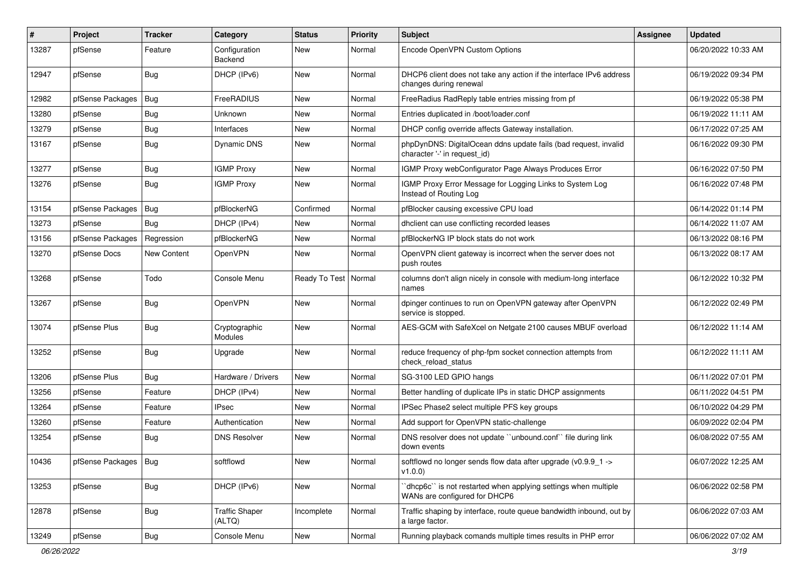| $\vert$ # | Project                | <b>Tracker</b> | Category                        | <b>Status</b>          | <b>Priority</b> | <b>Subject</b>                                                                                  | <b>Assignee</b> | <b>Updated</b>      |
|-----------|------------------------|----------------|---------------------------------|------------------------|-----------------|-------------------------------------------------------------------------------------------------|-----------------|---------------------|
| 13287     | pfSense                | Feature        | Configuration<br>Backend        | New                    | Normal          | Encode OpenVPN Custom Options                                                                   |                 | 06/20/2022 10:33 AM |
| 12947     | pfSense                | Bug            | DHCP (IPv6)                     | <b>New</b>             | Normal          | DHCP6 client does not take any action if the interface IPv6 address<br>changes during renewal   |                 | 06/19/2022 09:34 PM |
| 12982     | pfSense Packages       | Bug            | FreeRADIUS                      | <b>New</b>             | Normal          | FreeRadius RadReply table entries missing from pf                                               |                 | 06/19/2022 05:38 PM |
| 13280     | pfSense                | <b>Bug</b>     | Unknown                         | New                    | Normal          | Entries duplicated in /boot/loader.conf                                                         |                 | 06/19/2022 11:11 AM |
| 13279     | pfSense                | Bug            | Interfaces                      | <b>New</b>             | Normal          | DHCP config override affects Gateway installation.                                              |                 | 06/17/2022 07:25 AM |
| 13167     | pfSense                | Bug            | Dynamic DNS                     | <b>New</b>             | Normal          | phpDynDNS: DigitalOcean ddns update fails (bad request, invalid<br>character '-' in request_id) |                 | 06/16/2022 09:30 PM |
| 13277     | pfSense                | Bug            | <b>IGMP Proxy</b>               | <b>New</b>             | Normal          | IGMP Proxy webConfigurator Page Always Produces Error                                           |                 | 06/16/2022 07:50 PM |
| 13276     | pfSense                | Bug            | <b>IGMP Proxy</b>               | New                    | Normal          | IGMP Proxy Error Message for Logging Links to System Log<br>Instead of Routing Log              |                 | 06/16/2022 07:48 PM |
| 13154     | pfSense Packages       | Bug            | pfBlockerNG                     | Confirmed              | Normal          | pfBlocker causing excessive CPU load                                                            |                 | 06/14/2022 01:14 PM |
| 13273     | pfSense                | <b>Bug</b>     | DHCP (IPv4)                     | New                    | Normal          | dhclient can use conflicting recorded leases                                                    |                 | 06/14/2022 11:07 AM |
| 13156     | pfSense Packages       | Regression     | pfBlockerNG                     | New                    | Normal          | pfBlockerNG IP block stats do not work                                                          |                 | 06/13/2022 08:16 PM |
| 13270     | pfSense Docs           | New Content    | OpenVPN                         | <b>New</b>             | Normal          | OpenVPN client gateway is incorrect when the server does not<br>push routes                     |                 | 06/13/2022 08:17 AM |
| 13268     | pfSense                | Todo           | Console Menu                    | Ready To Test   Normal |                 | columns don't align nicely in console with medium-long interface<br>names                       |                 | 06/12/2022 10:32 PM |
| 13267     | pfSense                | Bug            | OpenVPN                         | <b>New</b>             | Normal          | dpinger continues to run on OpenVPN gateway after OpenVPN<br>service is stopped.                |                 | 06/12/2022 02:49 PM |
| 13074     | pfSense Plus           | Bug            | Cryptographic<br>Modules        | <b>New</b>             | Normal          | AES-GCM with SafeXcel on Netgate 2100 causes MBUF overload                                      |                 | 06/12/2022 11:14 AM |
| 13252     | pfSense                | Bug            | Upgrade                         | New                    | Normal          | reduce frequency of php-fpm socket connection attempts from<br>check reload status              |                 | 06/12/2022 11:11 AM |
| 13206     | pfSense Plus           | Bug            | Hardware / Drivers              | <b>New</b>             | Normal          | SG-3100 LED GPIO hangs                                                                          |                 | 06/11/2022 07:01 PM |
| 13256     | pfSense                | Feature        | DHCP (IPv4)                     | <b>New</b>             | Normal          | Better handling of duplicate IPs in static DHCP assignments                                     |                 | 06/11/2022 04:51 PM |
| 13264     | pfSense                | Feature        | <b>IPsec</b>                    | <b>New</b>             | Normal          | IPSec Phase2 select multiple PFS key groups                                                     |                 | 06/10/2022 04:29 PM |
| 13260     | pfSense                | Feature        | Authentication                  | New                    | Normal          | Add support for OpenVPN static-challenge                                                        |                 | 06/09/2022 02:04 PM |
| 13254     | pfSense                | <b>Bug</b>     | <b>DNS Resolver</b>             | New                    | Normal          | DNS resolver does not update "unbound.conf" file during link<br>down events                     |                 | 06/08/2022 07:55 AM |
| 10436     | pfSense Packages   Bug |                | softflowd                       | New                    | Normal          | softflowd no longer sends flow data after upgrade (v0.9.9 1 -><br>$ v1.0.0\rangle$              |                 | 06/07/2022 12:25 AM |
| 13253     | pfSense                | <b>Bug</b>     | DHCP (IPv6)                     | New                    | Normal          | 'dhcp6c' is not restarted when applying settings when multiple<br>WANs are configured for DHCP6 |                 | 06/06/2022 02:58 PM |
| 12878     | pfSense                | <b>Bug</b>     | <b>Traffic Shaper</b><br>(ALTQ) | Incomplete             | Normal          | Traffic shaping by interface, route queue bandwidth inbound, out by<br>a large factor.          |                 | 06/06/2022 07:03 AM |
| 13249     | pfSense                | Bug            | Console Menu                    | New                    | Normal          | Running playback comands multiple times results in PHP error                                    |                 | 06/06/2022 07:02 AM |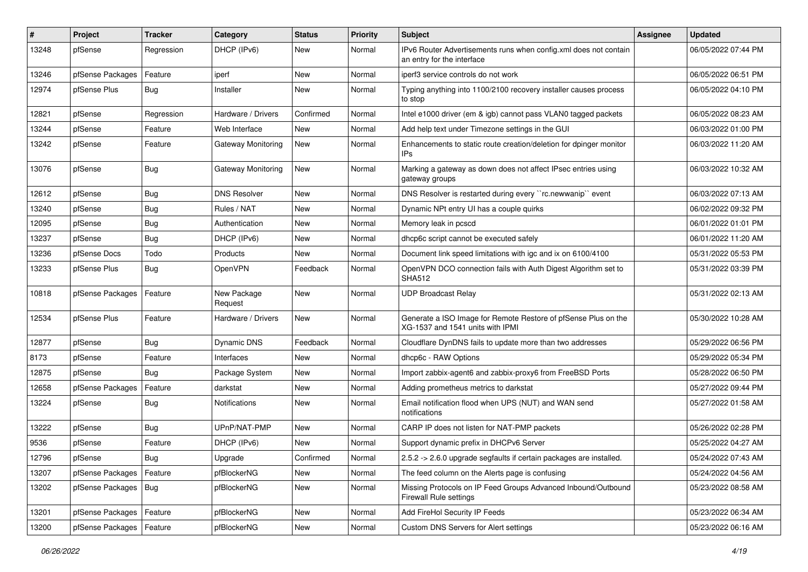| #     | <b>Project</b>   | <b>Tracker</b> | Category               | <b>Status</b> | <b>Priority</b> | <b>Subject</b>                                                                                     | <b>Assignee</b> | <b>Updated</b>      |
|-------|------------------|----------------|------------------------|---------------|-----------------|----------------------------------------------------------------------------------------------------|-----------------|---------------------|
| 13248 | pfSense          | Regression     | DHCP (IPv6)            | New           | Normal          | IPv6 Router Advertisements runs when config.xml does not contain<br>an entry for the interface     |                 | 06/05/2022 07:44 PM |
| 13246 | pfSense Packages | Feature        | iperf                  | New           | Normal          | iperf3 service controls do not work                                                                |                 | 06/05/2022 06:51 PM |
| 12974 | pfSense Plus     | <b>Bug</b>     | Installer              | New           | Normal          | Typing anything into 1100/2100 recovery installer causes process<br>to stop                        |                 | 06/05/2022 04:10 PM |
| 12821 | pfSense          | Regression     | Hardware / Drivers     | Confirmed     | Normal          | Intel e1000 driver (em & igb) cannot pass VLAN0 tagged packets                                     |                 | 06/05/2022 08:23 AM |
| 13244 | pfSense          | Feature        | Web Interface          | New           | Normal          | Add help text under Timezone settings in the GUI                                                   |                 | 06/03/2022 01:00 PM |
| 13242 | pfSense          | Feature        | Gateway Monitoring     | New           | Normal          | Enhancements to static route creation/deletion for dpinger monitor<br>IPs                          |                 | 06/03/2022 11:20 AM |
| 13076 | pfSense          | <b>Bug</b>     | Gateway Monitoring     | <b>New</b>    | Normal          | Marking a gateway as down does not affect IPsec entries using<br>gateway groups                    |                 | 06/03/2022 10:32 AM |
| 12612 | pfSense          | Bug            | <b>DNS Resolver</b>    | New           | Normal          | DNS Resolver is restarted during every "rc.newwanip" event                                         |                 | 06/03/2022 07:13 AM |
| 13240 | pfSense          | Bug            | Rules / NAT            | New           | Normal          | Dynamic NPt entry UI has a couple quirks                                                           |                 | 06/02/2022 09:32 PM |
| 12095 | pfSense          | <b>Bug</b>     | Authentication         | New           | Normal          | Memory leak in pcscd                                                                               |                 | 06/01/2022 01:01 PM |
| 13237 | pfSense          | <b>Bug</b>     | DHCP (IPv6)            | New           | Normal          | dhcp6c script cannot be executed safely                                                            |                 | 06/01/2022 11:20 AM |
| 13236 | pfSense Docs     | Todo           | Products               | New           | Normal          | Document link speed limitations with igc and ix on 6100/4100                                       |                 | 05/31/2022 05:53 PM |
| 13233 | pfSense Plus     | <b>Bug</b>     | OpenVPN                | Feedback      | Normal          | OpenVPN DCO connection fails with Auth Digest Algorithm set to<br><b>SHA512</b>                    |                 | 05/31/2022 03:39 PM |
| 10818 | pfSense Packages | Feature        | New Package<br>Request | New           | Normal          | <b>UDP Broadcast Relay</b>                                                                         |                 | 05/31/2022 02:13 AM |
| 12534 | pfSense Plus     | Feature        | Hardware / Drivers     | <b>New</b>    | Normal          | Generate a ISO Image for Remote Restore of pfSense Plus on the<br>XG-1537 and 1541 units with IPMI |                 | 05/30/2022 10:28 AM |
| 12877 | pfSense          | Bug            | Dynamic DNS            | Feedback      | Normal          | Cloudflare DynDNS fails to update more than two addresses                                          |                 | 05/29/2022 06:56 PM |
| 8173  | pfSense          | Feature        | Interfaces             | New           | Normal          | dhcp6c - RAW Options                                                                               |                 | 05/29/2022 05:34 PM |
| 12875 | pfSense          | Bug            | Package System         | New           | Normal          | Import zabbix-agent6 and zabbix-proxy6 from FreeBSD Ports                                          |                 | 05/28/2022 06:50 PM |
| 12658 | pfSense Packages | Feature        | darkstat               | New           | Normal          | Adding prometheus metrics to darkstat                                                              |                 | 05/27/2022 09:44 PM |
| 13224 | pfSense          | <b>Bug</b>     | <b>Notifications</b>   | New           | Normal          | Email notification flood when UPS (NUT) and WAN send<br>notifications                              |                 | 05/27/2022 01:58 AM |
| 13222 | pfSense          | Bug            | UPnP/NAT-PMP           | <b>New</b>    | Normal          | CARP IP does not listen for NAT-PMP packets                                                        |                 | 05/26/2022 02:28 PM |
| 9536  | pfSense          | Feature        | DHCP (IPv6)            | New           | Normal          | Support dynamic prefix in DHCPv6 Server                                                            |                 | 05/25/2022 04:27 AM |
| 12796 | pfSense          | <b>Bug</b>     | Upgrade                | Confirmed     | Normal          | 2.5.2 -> 2.6.0 upgrade segfaults if certain packages are installed.                                |                 | 05/24/2022 07:43 AM |
| 13207 | pfSense Packages | Feature        | pfBlockerNG            | New           | Normal          | The feed column on the Alerts page is confusing                                                    |                 | 05/24/2022 04:56 AM |
| 13202 | pfSense Packages | I Bug          | pfBlockerNG            | New           | Normal          | Missing Protocols on IP Feed Groups Advanced Inbound/Outbound<br>Firewall Rule settings            |                 | 05/23/2022 08:58 AM |
| 13201 | pfSense Packages | Feature        | pfBlockerNG            | New           | Normal          | Add FireHol Security IP Feeds                                                                      |                 | 05/23/2022 06:34 AM |
| 13200 | pfSense Packages | Feature        | pfBlockerNG            | New           | Normal          | Custom DNS Servers for Alert settings                                                              |                 | 05/23/2022 06:16 AM |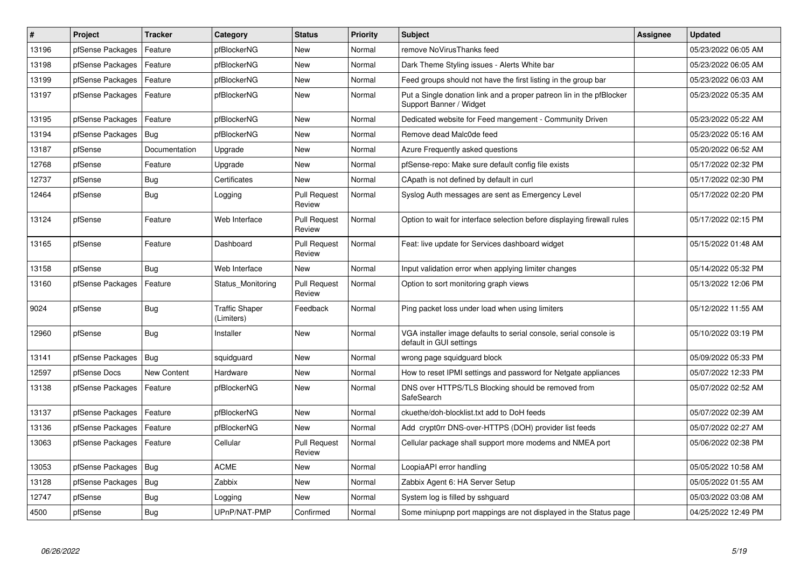| #     | <b>Project</b>   | <b>Tracker</b> | Category                            | <b>Status</b>                 | Priority | <b>Subject</b>                                                                                  | <b>Assignee</b> | <b>Updated</b>      |
|-------|------------------|----------------|-------------------------------------|-------------------------------|----------|-------------------------------------------------------------------------------------------------|-----------------|---------------------|
| 13196 | pfSense Packages | Feature        | pfBlockerNG                         | New                           | Normal   | remove NoVirusThanks feed                                                                       |                 | 05/23/2022 06:05 AM |
| 13198 | pfSense Packages | Feature        | pfBlockerNG                         | New                           | Normal   | Dark Theme Styling issues - Alerts White bar                                                    |                 | 05/23/2022 06:05 AM |
| 13199 | pfSense Packages | Feature        | pfBlockerNG                         | New                           | Normal   | Feed groups should not have the first listing in the group bar                                  |                 | 05/23/2022 06:03 AM |
| 13197 | pfSense Packages | Feature        | pfBlockerNG                         | New                           | Normal   | Put a Single donation link and a proper patreon lin in the pfBlocker<br>Support Banner / Widget |                 | 05/23/2022 05:35 AM |
| 13195 | pfSense Packages | Feature        | pfBlockerNG                         | New                           | Normal   | Dedicated website for Feed mangement - Community Driven                                         |                 | 05/23/2022 05:22 AM |
| 13194 | pfSense Packages | <b>Bug</b>     | pfBlockerNG                         | New                           | Normal   | Remove dead Malc0de feed                                                                        |                 | 05/23/2022 05:16 AM |
| 13187 | pfSense          | Documentation  | Upgrade                             | New                           | Normal   | Azure Frequently asked questions                                                                |                 | 05/20/2022 06:52 AM |
| 12768 | pfSense          | Feature        | Upgrade                             | New                           | Normal   | pfSense-repo: Make sure default config file exists                                              |                 | 05/17/2022 02:32 PM |
| 12737 | pfSense          | Bug            | Certificates                        | New                           | Normal   | CApath is not defined by default in curl                                                        |                 | 05/17/2022 02:30 PM |
| 12464 | pfSense          | Bug            | Logging                             | <b>Pull Request</b><br>Review | Normal   | Syslog Auth messages are sent as Emergency Level                                                |                 | 05/17/2022 02:20 PM |
| 13124 | pfSense          | Feature        | Web Interface                       | <b>Pull Request</b><br>Review | Normal   | Option to wait for interface selection before displaying firewall rules                         |                 | 05/17/2022 02:15 PM |
| 13165 | pfSense          | Feature        | Dashboard                           | <b>Pull Request</b><br>Review | Normal   | Feat: live update for Services dashboard widget                                                 |                 | 05/15/2022 01:48 AM |
| 13158 | pfSense          | Bug            | Web Interface                       | <b>New</b>                    | Normal   | Input validation error when applying limiter changes                                            |                 | 05/14/2022 05:32 PM |
| 13160 | pfSense Packages | Feature        | Status Monitoring                   | <b>Pull Request</b><br>Review | Normal   | Option to sort monitoring graph views                                                           |                 | 05/13/2022 12:06 PM |
| 9024  | pfSense          | Bug            | <b>Traffic Shaper</b><br>(Limiters) | Feedback                      | Normal   | Ping packet loss under load when using limiters                                                 |                 | 05/12/2022 11:55 AM |
| 12960 | pfSense          | <b>Bug</b>     | Installer                           | New                           | Normal   | VGA installer image defaults to serial console, serial console is<br>default in GUI settings    |                 | 05/10/2022 03:19 PM |
| 13141 | pfSense Packages | Bug            | squidguard                          | New                           | Normal   | wrong page squidguard block                                                                     |                 | 05/09/2022 05:33 PM |
| 12597 | pfSense Docs     | New Content    | Hardware                            | New                           | Normal   | How to reset IPMI settings and password for Netgate appliances                                  |                 | 05/07/2022 12:33 PM |
| 13138 | pfSense Packages | Feature        | pfBlockerNG                         | New                           | Normal   | DNS over HTTPS/TLS Blocking should be removed from<br>SafeSearch                                |                 | 05/07/2022 02:52 AM |
| 13137 | pfSense Packages | Feature        | pfBlockerNG                         | New                           | Normal   | ckuethe/doh-blocklist.txt add to DoH feeds                                                      |                 | 05/07/2022 02:39 AM |
| 13136 | pfSense Packages | Feature        | pfBlockerNG                         | New                           | Normal   | Add crypt0rr DNS-over-HTTPS (DOH) provider list feeds                                           |                 | 05/07/2022 02:27 AM |
| 13063 | pfSense Packages | Feature        | Cellular                            | <b>Pull Request</b><br>Review | Normal   | Cellular package shall support more modems and NMEA port                                        |                 | 05/06/2022 02:38 PM |
| 13053 | pfSense Packages | <b>Bug</b>     | <b>ACME</b>                         | <b>New</b>                    | Normal   | LoopiaAPI error handling                                                                        |                 | 05/05/2022 10:58 AM |
| 13128 | pfSense Packages | Bug            | Zabbix                              | New                           | Normal   | Zabbix Agent 6: HA Server Setup                                                                 |                 | 05/05/2022 01:55 AM |
| 12747 | pfSense          | Bug            | Logging                             | <b>New</b>                    | Normal   | System log is filled by sshguard                                                                |                 | 05/03/2022 03:08 AM |
| 4500  | pfSense          | Bug            | UPnP/NAT-PMP                        | Confirmed                     | Normal   | Some miniupnp port mappings are not displayed in the Status page                                |                 | 04/25/2022 12:49 PM |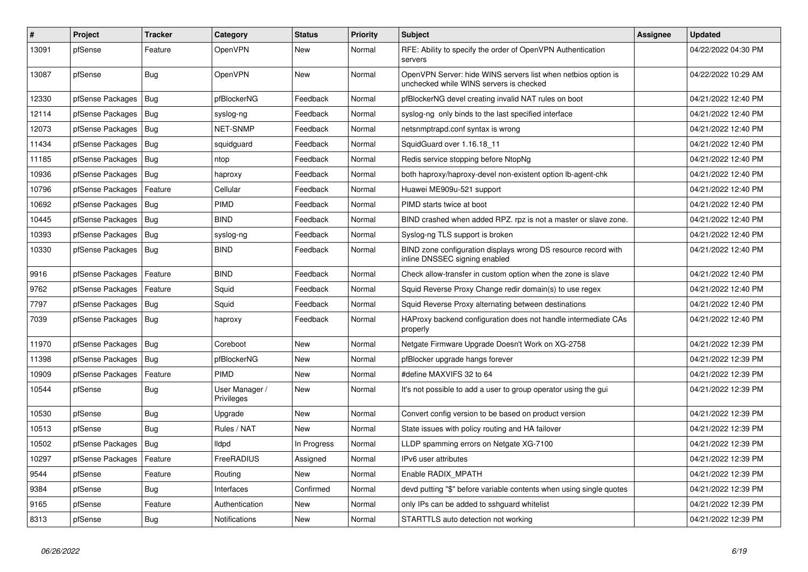| $\vert$ # | <b>Project</b>   | <b>Tracker</b> | Category                     | <b>Status</b> | <b>Priority</b> | <b>Subject</b>                                                                                           | <b>Assignee</b> | Updated             |
|-----------|------------------|----------------|------------------------------|---------------|-----------------|----------------------------------------------------------------------------------------------------------|-----------------|---------------------|
| 13091     | pfSense          | Feature        | <b>OpenVPN</b>               | New           | Normal          | RFE: Ability to specify the order of OpenVPN Authentication<br>servers                                   |                 | 04/22/2022 04:30 PM |
| 13087     | pfSense          | <b>Bug</b>     | OpenVPN                      | New           | Normal          | OpenVPN Server: hide WINS servers list when netbios option is<br>unchecked while WINS servers is checked |                 | 04/22/2022 10:29 AM |
| 12330     | pfSense Packages | Bug            | pfBlockerNG                  | Feedback      | Normal          | pfBlockerNG devel creating invalid NAT rules on boot                                                     |                 | 04/21/2022 12:40 PM |
| 12114     | pfSense Packages | Bug            | syslog-ng                    | Feedback      | Normal          | syslog-ng only binds to the last specified interface                                                     |                 | 04/21/2022 12:40 PM |
| 12073     | pfSense Packages | <b>Bug</b>     | <b>NET-SNMP</b>              | Feedback      | Normal          | netsnmptrapd.conf syntax is wrong                                                                        |                 | 04/21/2022 12:40 PM |
| 11434     | pfSense Packages | <b>Bug</b>     | squidguard                   | Feedback      | Normal          | SquidGuard over 1.16.18_11                                                                               |                 | 04/21/2022 12:40 PM |
| 11185     | pfSense Packages | Bug            | ntop                         | Feedback      | Normal          | Redis service stopping before NtopNg                                                                     |                 | 04/21/2022 12:40 PM |
| 10936     | pfSense Packages | <b>Bug</b>     | haproxy                      | Feedback      | Normal          | both haproxy/haproxy-devel non-existent option lb-agent-chk                                              |                 | 04/21/2022 12:40 PM |
| 10796     | pfSense Packages | Feature        | Cellular                     | Feedback      | Normal          | Huawei ME909u-521 support                                                                                |                 | 04/21/2022 12:40 PM |
| 10692     | pfSense Packages | <b>Bug</b>     | PIMD                         | Feedback      | Normal          | PIMD starts twice at boot                                                                                |                 | 04/21/2022 12:40 PM |
| 10445     | pfSense Packages | Bug            | <b>BIND</b>                  | Feedback      | Normal          | BIND crashed when added RPZ. rpz is not a master or slave zone.                                          |                 | 04/21/2022 12:40 PM |
| 10393     | pfSense Packages | <b>Bug</b>     | syslog-ng                    | Feedback      | Normal          | Syslog-ng TLS support is broken                                                                          |                 | 04/21/2022 12:40 PM |
| 10330     | pfSense Packages | Bug            | <b>BIND</b>                  | Feedback      | Normal          | BIND zone configuration displays wrong DS resource record with<br>inline DNSSEC signing enabled          |                 | 04/21/2022 12:40 PM |
| 9916      | pfSense Packages | Feature        | <b>BIND</b>                  | Feedback      | Normal          | Check allow-transfer in custom option when the zone is slave                                             |                 | 04/21/2022 12:40 PM |
| 9762      | pfSense Packages | Feature        | Squid                        | Feedback      | Normal          | Squid Reverse Proxy Change redir domain(s) to use regex                                                  |                 | 04/21/2022 12:40 PM |
| 7797      | pfSense Packages | Bug            | Squid                        | Feedback      | Normal          | Squid Reverse Proxy alternating between destinations                                                     |                 | 04/21/2022 12:40 PM |
| 7039      | pfSense Packages | <b>Bug</b>     | haproxy                      | Feedback      | Normal          | HAProxy backend configuration does not handle intermediate CAs<br>properly                               |                 | 04/21/2022 12:40 PM |
| 11970     | pfSense Packages | Bug            | Coreboot                     | New           | Normal          | Netgate Firmware Upgrade Doesn't Work on XG-2758                                                         |                 | 04/21/2022 12:39 PM |
| 11398     | pfSense Packages | Bug            | pfBlockerNG                  | New           | Normal          | pfBlocker upgrade hangs forever                                                                          |                 | 04/21/2022 12:39 PM |
| 10909     | pfSense Packages | Feature        | PIMD                         | New           | Normal          | #define MAXVIFS 32 to 64                                                                                 |                 | 04/21/2022 12:39 PM |
| 10544     | pfSense          | <b>Bug</b>     | User Manager /<br>Privileges | New           | Normal          | It's not possible to add a user to group operator using the gui                                          |                 | 04/21/2022 12:39 PM |
| 10530     | pfSense          | Bug            | Upgrade                      | New           | Normal          | Convert config version to be based on product version                                                    |                 | 04/21/2022 12:39 PM |
| 10513     | pfSense          | <b>Bug</b>     | Rules / NAT                  | New           | Normal          | State issues with policy routing and HA failover                                                         |                 | 04/21/2022 12:39 PM |
| 10502     | pfSense Packages | Bug            | <b>Ildpd</b>                 | In Progress   | Normal          | LLDP spamming errors on Netgate XG-7100                                                                  |                 | 04/21/2022 12:39 PM |
| 10297     | pfSense Packages | Feature        | FreeRADIUS                   | Assigned      | Normal          | IPv6 user attributes                                                                                     |                 | 04/21/2022 12:39 PM |
| 9544      | pfSense          | Feature        | Routing                      | New           | Normal          | Enable RADIX MPATH                                                                                       |                 | 04/21/2022 12:39 PM |
| 9384      | pfSense          | Bug            | Interfaces                   | Confirmed     | Normal          | devd putting "\$" before variable contents when using single quotes                                      |                 | 04/21/2022 12:39 PM |
| 9165      | pfSense          | Feature        | Authentication               | New           | Normal          | only IPs can be added to sshquard whitelist                                                              |                 | 04/21/2022 12:39 PM |
| 8313      | pfSense          | <b>Bug</b>     | Notifications                | New           | Normal          | STARTTLS auto detection not working                                                                      |                 | 04/21/2022 12:39 PM |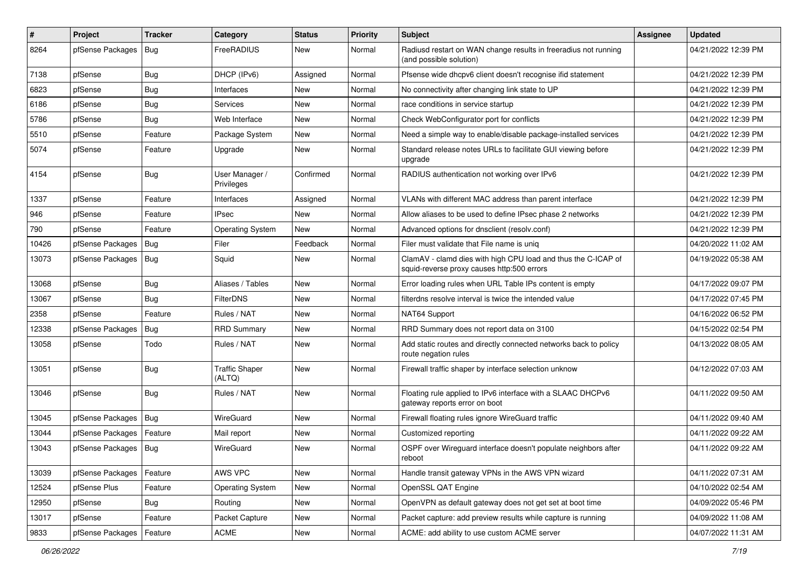| $\vert$ # | Project          | <b>Tracker</b> | Category                        | <b>Status</b> | <b>Priority</b> | Subject                                                                                                     | <b>Assignee</b> | <b>Updated</b>      |
|-----------|------------------|----------------|---------------------------------|---------------|-----------------|-------------------------------------------------------------------------------------------------------------|-----------------|---------------------|
| 8264      | pfSense Packages | <b>Bug</b>     | FreeRADIUS                      | New           | Normal          | Radiusd restart on WAN change results in freeradius not running<br>(and possible solution)                  |                 | 04/21/2022 12:39 PM |
| 7138      | pfSense          | Bug            | DHCP (IPv6)                     | Assigned      | Normal          | Pfsense wide dhcpv6 client doesn't recognise ifid statement                                                 |                 | 04/21/2022 12:39 PM |
| 6823      | pfSense          | Bug            | Interfaces                      | New           | Normal          | No connectivity after changing link state to UP                                                             |                 | 04/21/2022 12:39 PM |
| 6186      | pfSense          | Bug            | Services                        | New           | Normal          | race conditions in service startup                                                                          |                 | 04/21/2022 12:39 PM |
| 5786      | pfSense          | Bug            | Web Interface                   | New           | Normal          | Check WebConfigurator port for conflicts                                                                    |                 | 04/21/2022 12:39 PM |
| 5510      | pfSense          | Feature        | Package System                  | New           | Normal          | Need a simple way to enable/disable package-installed services                                              |                 | 04/21/2022 12:39 PM |
| 5074      | pfSense          | Feature        | Upgrade                         | <b>New</b>    | Normal          | Standard release notes URLs to facilitate GUI viewing before<br>upgrade                                     |                 | 04/21/2022 12:39 PM |
| 4154      | pfSense          | <b>Bug</b>     | User Manager /<br>Privileges    | Confirmed     | Normal          | RADIUS authentication not working over IPv6                                                                 |                 | 04/21/2022 12:39 PM |
| 1337      | pfSense          | Feature        | Interfaces                      | Assigned      | Normal          | VLANs with different MAC address than parent interface                                                      |                 | 04/21/2022 12:39 PM |
| 946       | pfSense          | Feature        | <b>IPsec</b>                    | New           | Normal          | Allow aliases to be used to define IPsec phase 2 networks                                                   |                 | 04/21/2022 12:39 PM |
| 790       | pfSense          | Feature        | <b>Operating System</b>         | New           | Normal          | Advanced options for dnsclient (resolv.conf)                                                                |                 | 04/21/2022 12:39 PM |
| 10426     | pfSense Packages | Bug            | Filer                           | Feedback      | Normal          | Filer must validate that File name is unig                                                                  |                 | 04/20/2022 11:02 AM |
| 13073     | pfSense Packages | Bug            | Squid                           | New           | Normal          | ClamAV - clamd dies with high CPU load and thus the C-ICAP of<br>squid-reverse proxy causes http:500 errors |                 | 04/19/2022 05:38 AM |
| 13068     | pfSense          | Bug            | Aliases / Tables                | <b>New</b>    | Normal          | Error loading rules when URL Table IPs content is empty                                                     |                 | 04/17/2022 09:07 PM |
| 13067     | pfSense          | Bug            | FilterDNS                       | New           | Normal          | filterdns resolve interval is twice the intended value                                                      |                 | 04/17/2022 07:45 PM |
| 2358      | pfSense          | Feature        | Rules / NAT                     | New           | Normal          | NAT64 Support                                                                                               |                 | 04/16/2022 06:52 PM |
| 12338     | pfSense Packages | Bug            | <b>RRD Summary</b>              | New           | Normal          | RRD Summary does not report data on 3100                                                                    |                 | 04/15/2022 02:54 PM |
| 13058     | pfSense          | Todo           | Rules / NAT                     | New           | Normal          | Add static routes and directly connected networks back to policy<br>route negation rules                    |                 | 04/13/2022 08:05 AM |
| 13051     | pfSense          | Bug            | <b>Traffic Shaper</b><br>(ALTQ) | New           | Normal          | Firewall traffic shaper by interface selection unknow                                                       |                 | 04/12/2022 07:03 AM |
| 13046     | pfSense          | Bug            | Rules / NAT                     | New           | Normal          | Floating rule applied to IPv6 interface with a SLAAC DHCPv6<br>gateway reports error on boot                |                 | 04/11/2022 09:50 AM |
| 13045     | pfSense Packages | Bug            | WireGuard                       | New           | Normal          | Firewall floating rules ignore WireGuard traffic                                                            |                 | 04/11/2022 09:40 AM |
| 13044     | pfSense Packages | Feature        | Mail report                     | New           | Normal          | Customized reporting                                                                                        |                 | 04/11/2022 09:22 AM |
| 13043     | pfSense Packages | <b>Bug</b>     | WireGuard                       | New           | Normal          | OSPF over Wirequard interface doesn't populate neighbors after<br>reboot                                    |                 | 04/11/2022 09:22 AM |
| 13039     | pfSense Packages | Feature        | AWS VPC                         | New           | Normal          | Handle transit gateway VPNs in the AWS VPN wizard                                                           |                 | 04/11/2022 07:31 AM |
| 12524     | pfSense Plus     | Feature        | <b>Operating System</b>         | New           | Normal          | OpenSSL QAT Engine                                                                                          |                 | 04/10/2022 02:54 AM |
| 12950     | pfSense          | Bug            | Routing                         | New           | Normal          | OpenVPN as default gateway does not get set at boot time                                                    |                 | 04/09/2022 05:46 PM |
| 13017     | pfSense          | Feature        | Packet Capture                  | New           | Normal          | Packet capture: add preview results while capture is running                                                |                 | 04/09/2022 11:08 AM |
| 9833      | pfSense Packages | Feature        | ACME                            | New           | Normal          | ACME: add ability to use custom ACME server                                                                 |                 | 04/07/2022 11:31 AM |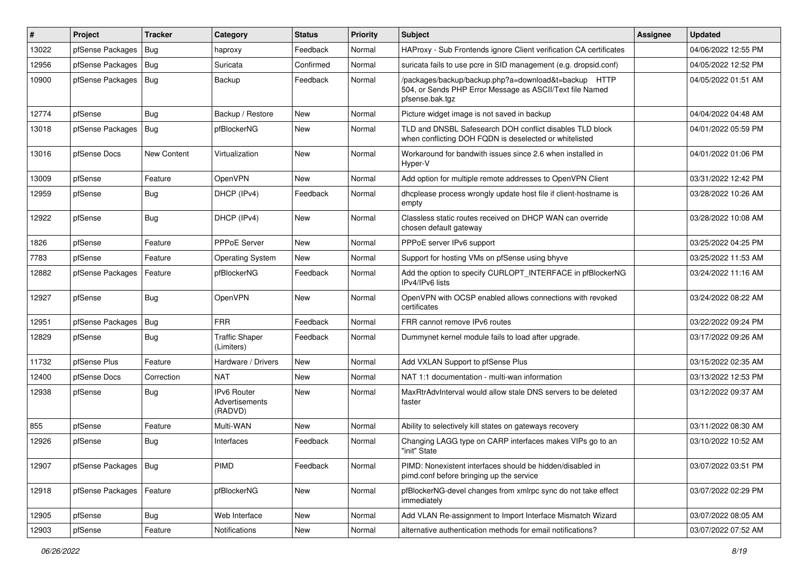| $\vert$ # | Project          | <b>Tracker</b> | Category                                        | <b>Status</b> | <b>Priority</b> | Subject                                                                                                                             | Assignee | <b>Updated</b>      |
|-----------|------------------|----------------|-------------------------------------------------|---------------|-----------------|-------------------------------------------------------------------------------------------------------------------------------------|----------|---------------------|
| 13022     | pfSense Packages | Bug            | haproxy                                         | Feedback      | Normal          | HAProxy - Sub Frontends ignore Client verification CA certificates                                                                  |          | 04/06/2022 12:55 PM |
| 12956     | pfSense Packages | Bug            | Suricata                                        | Confirmed     | Normal          | suricata fails to use pcre in SID management (e.g. dropsid.conf)                                                                    |          | 04/05/2022 12:52 PM |
| 10900     | pfSense Packages | Bug            | Backup                                          | Feedback      | Normal          | /packages/backup/backup.php?a=download&t=backup HTTP<br>504, or Sends PHP Error Message as ASCII/Text file Named<br>pfsense.bak.tgz |          | 04/05/2022 01:51 AM |
| 12774     | pfSense          | Bug            | Backup / Restore                                | New           | Normal          | Picture widget image is not saved in backup                                                                                         |          | 04/04/2022 04:48 AM |
| 13018     | pfSense Packages | Bug            | pfBlockerNG                                     | New           | Normal          | TLD and DNSBL Safesearch DOH conflict disables TLD block<br>when conflicting DOH FQDN is deselected or whitelisted                  |          | 04/01/2022 05:59 PM |
| 13016     | pfSense Docs     | New Content    | Virtualization                                  | <b>New</b>    | Normal          | Workaround for bandwith issues since 2.6 when installed in<br>Hyper-V                                                               |          | 04/01/2022 01:06 PM |
| 13009     | pfSense          | Feature        | OpenVPN                                         | <b>New</b>    | Normal          | Add option for multiple remote addresses to OpenVPN Client                                                                          |          | 03/31/2022 12:42 PM |
| 12959     | pfSense          | Bug            | DHCP (IPv4)                                     | Feedback      | Normal          | dhcplease process wrongly update host file if client-hostname is<br>empty                                                           |          | 03/28/2022 10:26 AM |
| 12922     | pfSense          | Bug            | DHCP (IPv4)                                     | <b>New</b>    | Normal          | Classless static routes received on DHCP WAN can override<br>chosen default gateway                                                 |          | 03/28/2022 10:08 AM |
| 1826      | pfSense          | Feature        | PPPoE Server                                    | <b>New</b>    | Normal          | PPPoE server IPv6 support                                                                                                           |          | 03/25/2022 04:25 PM |
| 7783      | pfSense          | Feature        | <b>Operating System</b>                         | New           | Normal          | Support for hosting VMs on pfSense using bhyve                                                                                      |          | 03/25/2022 11:53 AM |
| 12882     | pfSense Packages | Feature        | pfBlockerNG                                     | Feedback      | Normal          | Add the option to specify CURLOPT_INTERFACE in pfBlockerNG<br>IPv4/IPv6 lists                                                       |          | 03/24/2022 11:16 AM |
| 12927     | pfSense          | Bug            | OpenVPN                                         | New           | Normal          | OpenVPN with OCSP enabled allows connections with revoked<br>certificates                                                           |          | 03/24/2022 08:22 AM |
| 12951     | pfSense Packages | Bug            | <b>FRR</b>                                      | Feedback      | Normal          | FRR cannot remove IPv6 routes                                                                                                       |          | 03/22/2022 09:24 PM |
| 12829     | pfSense          | Bug            | <b>Traffic Shaper</b><br>(Limiters)             | Feedback      | Normal          | Dummynet kernel module fails to load after upgrade.                                                                                 |          | 03/17/2022 09:26 AM |
| 11732     | pfSense Plus     | Feature        | Hardware / Drivers                              | <b>New</b>    | Normal          | Add VXLAN Support to pfSense Plus                                                                                                   |          | 03/15/2022 02:35 AM |
| 12400     | pfSense Docs     | Correction     | <b>NAT</b>                                      | New           | Normal          | NAT 1:1 documentation - multi-wan information                                                                                       |          | 03/13/2022 12:53 PM |
| 12938     | pfSense          | Bug            | <b>IPv6 Router</b><br>Advertisements<br>(RADVD) | <b>New</b>    | Normal          | MaxRtrAdvInterval would allow stale DNS servers to be deleted<br>faster                                                             |          | 03/12/2022 09:37 AM |
| 855       | pfSense          | Feature        | Multi-WAN                                       | <b>New</b>    | Normal          | Ability to selectively kill states on gateways recovery                                                                             |          | 03/11/2022 08:30 AM |
| 12926     | pfSense          | Bug            | Interfaces                                      | Feedback      | Normal          | Changing LAGG type on CARP interfaces makes VIPs go to an<br>"init" State                                                           |          | 03/10/2022 10:52 AM |
| 12907     | pfSense Packages | Bug            | PIMD                                            | Feedback      | Normal          | PIMD: Nonexistent interfaces should be hidden/disabled in<br>pimd.conf before bringing up the service                               |          | 03/07/2022 03:51 PM |
| 12918     | pfSense Packages | Feature        | pfBlockerNG                                     | New           | Normal          | pfBlockerNG-devel changes from xmlrpc sync do not take effect<br>immediately                                                        |          | 03/07/2022 02:29 PM |
| 12905     | pfSense          | <b>Bug</b>     | Web Interface                                   | New           | Normal          | Add VLAN Re-assignment to Import Interface Mismatch Wizard                                                                          |          | 03/07/2022 08:05 AM |
| 12903     | pfSense          | Feature        | Notifications                                   | New           | Normal          | alternative authentication methods for email notifications?                                                                         |          | 03/07/2022 07:52 AM |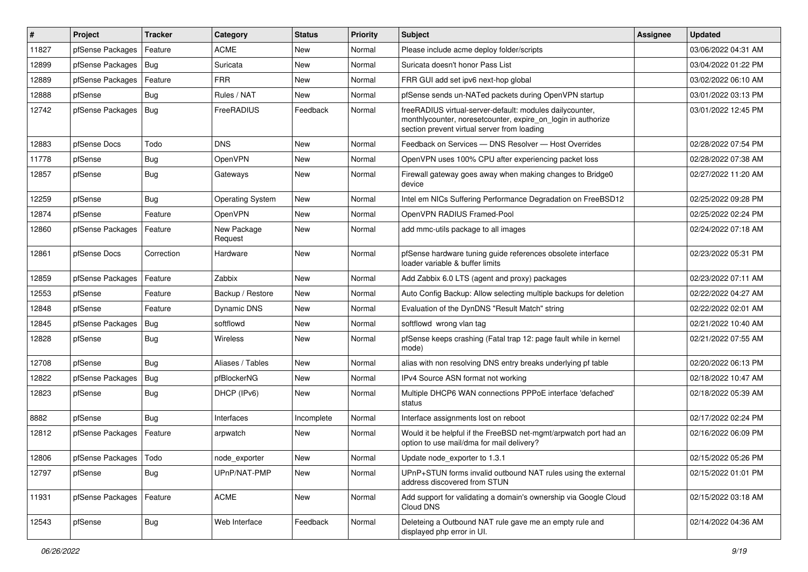| ∦     | Project                 | <b>Tracker</b> | Category                | <b>Status</b> | <b>Priority</b> | <b>Subject</b>                                                                                                                                                          | <b>Assignee</b> | <b>Updated</b>      |
|-------|-------------------------|----------------|-------------------------|---------------|-----------------|-------------------------------------------------------------------------------------------------------------------------------------------------------------------------|-----------------|---------------------|
| 11827 | pfSense Packages        | Feature        | <b>ACME</b>             | New           | Normal          | Please include acme deploy folder/scripts                                                                                                                               |                 | 03/06/2022 04:31 AM |
| 12899 | pfSense Packages        | Bug            | Suricata                | New           | Normal          | Suricata doesn't honor Pass List                                                                                                                                        |                 | 03/04/2022 01:22 PM |
| 12889 | pfSense Packages        | Feature        | <b>FRR</b>              | New           | Normal          | FRR GUI add set ipv6 next-hop global                                                                                                                                    |                 | 03/02/2022 06:10 AM |
| 12888 | pfSense                 | Bug            | Rules / NAT             | New           | Normal          | pfSense sends un-NATed packets during OpenVPN startup                                                                                                                   |                 | 03/01/2022 03:13 PM |
| 12742 | pfSense Packages        | Bug            | FreeRADIUS              | Feedback      | Normal          | freeRADIUS virtual-server-default: modules dailycounter,<br>monthlycounter, noresetcounter, expire_on_login in authorize<br>section prevent virtual server from loading |                 | 03/01/2022 12:45 PM |
| 12883 | pfSense Docs            | Todo           | <b>DNS</b>              | New           | Normal          | Feedback on Services - DNS Resolver - Host Overrides                                                                                                                    |                 | 02/28/2022 07:54 PM |
| 11778 | pfSense                 | <b>Bug</b>     | OpenVPN                 | New           | Normal          | OpenVPN uses 100% CPU after experiencing packet loss                                                                                                                    |                 | 02/28/2022 07:38 AM |
| 12857 | pfSense                 | <b>Bug</b>     | Gateways                | New           | Normal          | Firewall gateway goes away when making changes to Bridge0<br>device                                                                                                     |                 | 02/27/2022 11:20 AM |
| 12259 | pfSense                 | <b>Bug</b>     | <b>Operating System</b> | New           | Normal          | Intel em NICs Suffering Performance Degradation on FreeBSD12                                                                                                            |                 | 02/25/2022 09:28 PM |
| 12874 | pfSense                 | Feature        | OpenVPN                 | New           | Normal          | OpenVPN RADIUS Framed-Pool                                                                                                                                              |                 | 02/25/2022 02:24 PM |
| 12860 | pfSense Packages        | Feature        | New Package<br>Request  | New           | Normal          | add mmc-utils package to all images                                                                                                                                     |                 | 02/24/2022 07:18 AM |
| 12861 | pfSense Docs            | Correction     | Hardware                | New           | Normal          | pfSense hardware tuning guide references obsolete interface<br>loader variable & buffer limits                                                                          |                 | 02/23/2022 05:31 PM |
| 12859 | pfSense Packages        | Feature        | Zabbix                  | New           | Normal          | Add Zabbix 6.0 LTS (agent and proxy) packages                                                                                                                           |                 | 02/23/2022 07:11 AM |
| 12553 | pfSense                 | Feature        | Backup / Restore        | New           | Normal          | Auto Config Backup: Allow selecting multiple backups for deletion                                                                                                       |                 | 02/22/2022 04:27 AM |
| 12848 | pfSense                 | Feature        | Dynamic DNS             | New           | Normal          | Evaluation of the DynDNS "Result Match" string                                                                                                                          |                 | 02/22/2022 02:01 AM |
| 12845 | pfSense Packages        | Bug            | softflowd               | New           | Normal          | softflowd wrong vlan tag                                                                                                                                                |                 | 02/21/2022 10:40 AM |
| 12828 | pfSense                 | <b>Bug</b>     | <b>Wireless</b>         | New           | Normal          | pfSense keeps crashing (Fatal trap 12: page fault while in kernel<br>mode)                                                                                              |                 | 02/21/2022 07:55 AM |
| 12708 | pfSense                 | Bug            | Aliases / Tables        | New           | Normal          | alias with non resolving DNS entry breaks underlying pf table                                                                                                           |                 | 02/20/2022 06:13 PM |
| 12822 | pfSense Packages        | <b>Bug</b>     | pfBlockerNG             | New           | Normal          | IPv4 Source ASN format not working                                                                                                                                      |                 | 02/18/2022 10:47 AM |
| 12823 | pfSense                 | <b>Bug</b>     | DHCP (IPv6)             | New           | Normal          | Multiple DHCP6 WAN connections PPPoE interface 'defached'<br>status                                                                                                     |                 | 02/18/2022 05:39 AM |
| 8882  | pfSense                 | Bug            | Interfaces              | Incomplete    | Normal          | Interface assignments lost on reboot                                                                                                                                    |                 | 02/17/2022 02:24 PM |
| 12812 | pfSense Packages        | Feature        | arpwatch                | New           | Normal          | Would it be helpful if the FreeBSD net-mgmt/arpwatch port had an<br>option to use mail/dma for mail delivery?                                                           |                 | 02/16/2022 06:09 PM |
| 12806 | pfSense Packages   Todo |                | node_exporter           | New           | Normal          | Update node_exporter to 1.3.1                                                                                                                                           |                 | 02/15/2022 05:26 PM |
| 12797 | pfSense                 | Bug            | UPnP/NAT-PMP            | New           | Normal          | UPnP+STUN forms invalid outbound NAT rules using the external<br>address discovered from STUN                                                                           |                 | 02/15/2022 01:01 PM |
| 11931 | pfSense Packages        | Feature        | ACME                    | New           | Normal          | Add support for validating a domain's ownership via Google Cloud<br>Cloud DNS                                                                                           |                 | 02/15/2022 03:18 AM |
| 12543 | pfSense                 | <b>Bug</b>     | Web Interface           | Feedback      | Normal          | Deleteing a Outbound NAT rule gave me an empty rule and<br>displayed php error in UI.                                                                                   |                 | 02/14/2022 04:36 AM |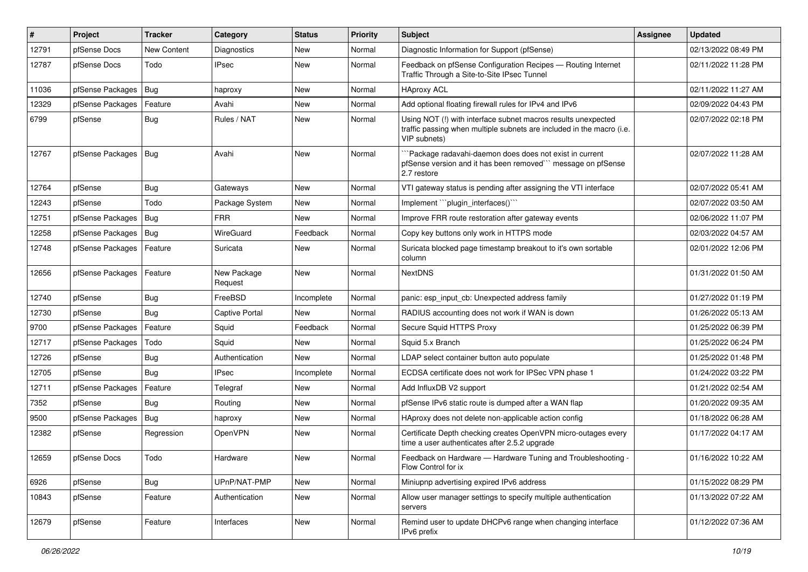| #     | Project          | <b>Tracker</b> | Category               | <b>Status</b> | <b>Priority</b> | Subject                                                                                                                                                | <b>Assignee</b> | <b>Updated</b>      |
|-------|------------------|----------------|------------------------|---------------|-----------------|--------------------------------------------------------------------------------------------------------------------------------------------------------|-----------------|---------------------|
| 12791 | pfSense Docs     | New Content    | Diagnostics            | New           | Normal          | Diagnostic Information for Support (pfSense)                                                                                                           |                 | 02/13/2022 08:49 PM |
| 12787 | pfSense Docs     | Todo           | <b>IPsec</b>           | New           | Normal          | Feedback on pfSense Configuration Recipes - Routing Internet<br>Traffic Through a Site-to-Site IPsec Tunnel                                            |                 | 02/11/2022 11:28 PM |
| 11036 | pfSense Packages | Bug            | haproxy                | New           | Normal          | <b>HAproxy ACL</b>                                                                                                                                     |                 | 02/11/2022 11:27 AM |
| 12329 | pfSense Packages | Feature        | Avahi                  | New           | Normal          | Add optional floating firewall rules for IPv4 and IPv6                                                                                                 |                 | 02/09/2022 04:43 PM |
| 6799  | pfSense          | Bug            | Rules / NAT            | New           | Normal          | Using NOT (!) with interface subnet macros results unexpected<br>traffic passing when multiple subnets are included in the macro (i.e.<br>VIP subnets) |                 | 02/07/2022 02:18 PM |
| 12767 | pfSense Packages | Bug            | Avahi                  | New           | Normal          | `Package radavahi-daemon does does not exist in current<br>pfSense version and it has been removed" message on pfSense<br>2.7 restore                  |                 | 02/07/2022 11:28 AM |
| 12764 | pfSense          | Bug            | Gateways               | New           | Normal          | VTI gateway status is pending after assigning the VTI interface                                                                                        |                 | 02/07/2022 05:41 AM |
| 12243 | pfSense          | Todo           | Package System         | New           | Normal          | Implement "plugin interfaces()"                                                                                                                        |                 | 02/07/2022 03:50 AM |
| 12751 | pfSense Packages | <b>Bug</b>     | <b>FRR</b>             | New           | Normal          | Improve FRR route restoration after gateway events                                                                                                     |                 | 02/06/2022 11:07 PM |
| 12258 | pfSense Packages | I Bug          | <b>WireGuard</b>       | Feedback      | Normal          | Copy key buttons only work in HTTPS mode                                                                                                               |                 | 02/03/2022 04:57 AM |
| 12748 | pfSense Packages | Feature        | Suricata               | <b>New</b>    | Normal          | Suricata blocked page timestamp breakout to it's own sortable<br>column                                                                                |                 | 02/01/2022 12:06 PM |
| 12656 | pfSense Packages | Feature        | New Package<br>Request | New           | Normal          | <b>NextDNS</b>                                                                                                                                         |                 | 01/31/2022 01:50 AM |
| 12740 | pfSense          | Bug            | FreeBSD                | Incomplete    | Normal          | panic: esp input cb: Unexpected address family                                                                                                         |                 | 01/27/2022 01:19 PM |
| 12730 | pfSense          | Bug            | <b>Captive Portal</b>  | New           | Normal          | RADIUS accounting does not work if WAN is down                                                                                                         |                 | 01/26/2022 05:13 AM |
| 9700  | pfSense Packages | Feature        | Squid                  | Feedback      | Normal          | Secure Squid HTTPS Proxy                                                                                                                               |                 | 01/25/2022 06:39 PM |
| 12717 | pfSense Packages | Todo           | Squid                  | New           | Normal          | Squid 5.x Branch                                                                                                                                       |                 | 01/25/2022 06:24 PM |
| 12726 | pfSense          | Bug            | Authentication         | New           | Normal          | LDAP select container button auto populate                                                                                                             |                 | 01/25/2022 01:48 PM |
| 12705 | pfSense          | Bug            | <b>IPsec</b>           | Incomplete    | Normal          | ECDSA certificate does not work for IPSec VPN phase 1                                                                                                  |                 | 01/24/2022 03:22 PM |
| 12711 | pfSense Packages | Feature        | Telegraf               | New           | Normal          | Add InfluxDB V2 support                                                                                                                                |                 | 01/21/2022 02:54 AM |
| 7352  | pfSense          | Bug            | Routing                | New           | Normal          | pfSense IPv6 static route is dumped after a WAN flap                                                                                                   |                 | 01/20/2022 09:35 AM |
| 9500  | pfSense Packages | Bug            | haproxy                | New           | Normal          | HAproxy does not delete non-applicable action config                                                                                                   |                 | 01/18/2022 06:28 AM |
| 12382 | pfSense          | Regression     | OpenVPN                | New           | Normal          | Certificate Depth checking creates OpenVPN micro-outages every<br>time a user authenticates after 2.5.2 upgrade                                        |                 | 01/17/2022 04:17 AM |
| 12659 | pfSense Docs     | Todo           | Hardware               | New           | Normal          | Feedback on Hardware - Hardware Tuning and Troubleshooting -<br>Flow Control for ix                                                                    |                 | 01/16/2022 10:22 AM |
| 6926  | pfSense          | Bug            | UPnP/NAT-PMP           | New           | Normal          | Miniupnp advertising expired IPv6 address                                                                                                              |                 | 01/15/2022 08:29 PM |
| 10843 | pfSense          | Feature        | Authentication         | New           | Normal          | Allow user manager settings to specify multiple authentication<br>servers                                                                              |                 | 01/13/2022 07:22 AM |
| 12679 | pfSense          | Feature        | Interfaces             | New           | Normal          | Remind user to update DHCPv6 range when changing interface<br>IPv6 prefix                                                                              |                 | 01/12/2022 07:36 AM |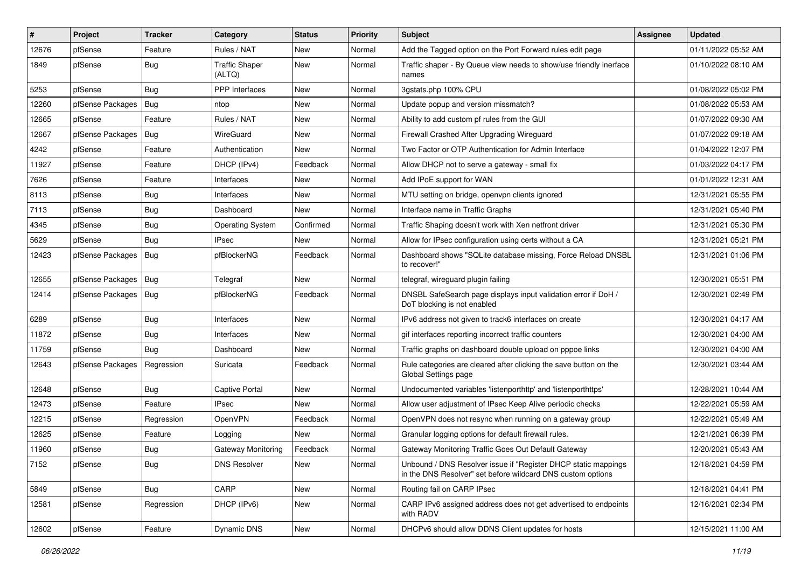| $\vert$ # | Project          | <b>Tracker</b> | Category                        | <b>Status</b> | <b>Priority</b> | Subject                                                                                                                       | <b>Assignee</b> | <b>Updated</b>      |
|-----------|------------------|----------------|---------------------------------|---------------|-----------------|-------------------------------------------------------------------------------------------------------------------------------|-----------------|---------------------|
| 12676     | pfSense          | Feature        | Rules / NAT                     | New           | Normal          | Add the Tagged option on the Port Forward rules edit page                                                                     |                 | 01/11/2022 05:52 AM |
| 1849      | pfSense          | Bug            | <b>Traffic Shaper</b><br>(ALTQ) | New           | Normal          | Traffic shaper - By Queue view needs to show/use friendly inerface<br>names                                                   |                 | 01/10/2022 08:10 AM |
| 5253      | pfSense          | Bug            | <b>PPP</b> Interfaces           | New           | Normal          | 3gstats.php 100% CPU                                                                                                          |                 | 01/08/2022 05:02 PM |
| 12260     | pfSense Packages | Bug            | ntop                            | New           | Normal          | Update popup and version missmatch?                                                                                           |                 | 01/08/2022 05:53 AM |
| 12665     | pfSense          | Feature        | Rules / NAT                     | New           | Normal          | Ability to add custom pf rules from the GUI                                                                                   |                 | 01/07/2022 09:30 AM |
| 12667     | pfSense Packages | Bug            | WireGuard                       | New           | Normal          | Firewall Crashed After Upgrading Wireguard                                                                                    |                 | 01/07/2022 09:18 AM |
| 4242      | pfSense          | Feature        | Authentication                  | New           | Normal          | Two Factor or OTP Authentication for Admin Interface                                                                          |                 | 01/04/2022 12:07 PM |
| 11927     | pfSense          | Feature        | DHCP (IPv4)                     | Feedback      | Normal          | Allow DHCP not to serve a gateway - small fix                                                                                 |                 | 01/03/2022 04:17 PM |
| 7626      | pfSense          | Feature        | Interfaces                      | New           | Normal          | Add IPoE support for WAN                                                                                                      |                 | 01/01/2022 12:31 AM |
| 8113      | pfSense          | <b>Bug</b>     | Interfaces                      | New           | Normal          | MTU setting on bridge, openvpn clients ignored                                                                                |                 | 12/31/2021 05:55 PM |
| 7113      | pfSense          | <b>Bug</b>     | Dashboard                       | New           | Normal          | Interface name in Traffic Graphs                                                                                              |                 | 12/31/2021 05:40 PM |
| 4345      | pfSense          | Bug            | <b>Operating System</b>         | Confirmed     | Normal          | Traffic Shaping doesn't work with Xen netfront driver                                                                         |                 | 12/31/2021 05:30 PM |
| 5629      | pfSense          | Bug            | <b>IPsec</b>                    | New           | Normal          | Allow for IPsec configuration using certs without a CA                                                                        |                 | 12/31/2021 05:21 PM |
| 12423     | pfSense Packages | <b>Bug</b>     | pfBlockerNG                     | Feedback      | Normal          | Dashboard shows "SQLite database missing, Force Reload DNSBL<br>to recover!"                                                  |                 | 12/31/2021 01:06 PM |
| 12655     | pfSense Packages | Bug            | Telegraf                        | New           | Normal          | telegraf, wireguard plugin failing                                                                                            |                 | 12/30/2021 05:51 PM |
| 12414     | pfSense Packages | Bug            | pfBlockerNG                     | Feedback      | Normal          | DNSBL SafeSearch page displays input validation error if DoH /<br>DoT blocking is not enabled                                 |                 | 12/30/2021 02:49 PM |
| 6289      | pfSense          | Bug            | Interfaces                      | New           | Normal          | IPv6 address not given to track6 interfaces on create                                                                         |                 | 12/30/2021 04:17 AM |
| 11872     | pfSense          | Bug            | Interfaces                      | New           | Normal          | gif interfaces reporting incorrect traffic counters                                                                           |                 | 12/30/2021 04:00 AM |
| 11759     | pfSense          | Bug            | Dashboard                       | New           | Normal          | Traffic graphs on dashboard double upload on pppoe links                                                                      |                 | 12/30/2021 04:00 AM |
| 12643     | pfSense Packages | Regression     | Suricata                        | Feedback      | Normal          | Rule categories are cleared after clicking the save button on the<br>Global Settings page                                     |                 | 12/30/2021 03:44 AM |
| 12648     | pfSense          | Bug            | <b>Captive Portal</b>           | New           | Normal          | Undocumented variables 'listenporthttp' and 'listenporthttps'                                                                 |                 | 12/28/2021 10:44 AM |
| 12473     | pfSense          | Feature        | <b>IPsec</b>                    | New           | Normal          | Allow user adjustment of IPsec Keep Alive periodic checks                                                                     |                 | 12/22/2021 05:59 AM |
| 12215     | pfSense          | Regression     | OpenVPN                         | Feedback      | Normal          | OpenVPN does not resync when running on a gateway group                                                                       |                 | 12/22/2021 05:49 AM |
| 12625     | pfSense          | Feature        | Logging                         | New           | Normal          | Granular logging options for default firewall rules.                                                                          |                 | 12/21/2021 06:39 PM |
| 11960     | pfSense          | Bug            | <b>Gateway Monitoring</b>       | Feedback      | Normal          | Gateway Monitoring Traffic Goes Out Default Gateway                                                                           |                 | 12/20/2021 05:43 AM |
| 7152      | pfSense          | <b>Bug</b>     | <b>DNS Resolver</b>             | New           | Normal          | Unbound / DNS Resolver issue if "Register DHCP static mappings<br>in the DNS Resolver" set before wildcard DNS custom options |                 | 12/18/2021 04:59 PM |
| 5849      | pfSense          | Bug            | CARP                            | New           | Normal          | Routing fail on CARP IPsec                                                                                                    |                 | 12/18/2021 04:41 PM |
| 12581     | pfSense          | Regression     | DHCP (IPv6)                     | New           | Normal          | CARP IPv6 assigned address does not get advertised to endpoints<br>with RADV                                                  |                 | 12/16/2021 02:34 PM |
| 12602     | pfSense          | Feature        | Dynamic DNS                     | New           | Normal          | DHCPv6 should allow DDNS Client updates for hosts                                                                             |                 | 12/15/2021 11:00 AM |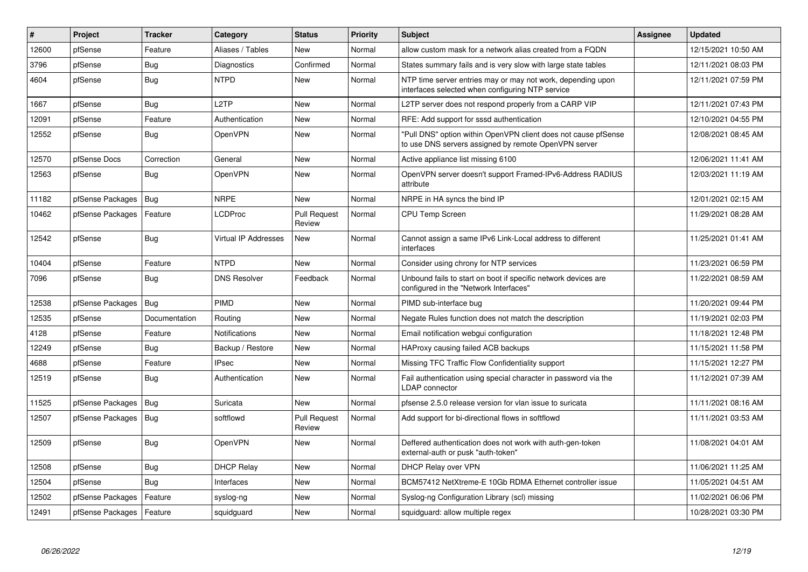| #     | Project                    | <b>Tracker</b> | Category             | <b>Status</b>                 | <b>Priority</b> | <b>Subject</b>                                                                                                         | <b>Assignee</b> | <b>Updated</b>      |
|-------|----------------------------|----------------|----------------------|-------------------------------|-----------------|------------------------------------------------------------------------------------------------------------------------|-----------------|---------------------|
| 12600 | pfSense                    | Feature        | Aliases / Tables     | <b>New</b>                    | Normal          | allow custom mask for a network alias created from a FQDN                                                              |                 | 12/15/2021 10:50 AM |
| 3796  | pfSense                    | Bug            | Diagnostics          | Confirmed                     | Normal          | States summary fails and is very slow with large state tables                                                          |                 | 12/11/2021 08:03 PM |
| 4604  | pfSense                    | <b>Bug</b>     | <b>NTPD</b>          | New                           | Normal          | NTP time server entries may or may not work, depending upon<br>interfaces selected when configuring NTP service        |                 | 12/11/2021 07:59 PM |
| 1667  | pfSense                    | Bug            | L <sub>2</sub> TP    | <b>New</b>                    | Normal          | L2TP server does not respond properly from a CARP VIP                                                                  |                 | 12/11/2021 07:43 PM |
| 12091 | pfSense                    | Feature        | Authentication       | New                           | Normal          | RFE: Add support for sssd authentication                                                                               |                 | 12/10/2021 04:55 PM |
| 12552 | pfSense                    | Bug            | OpenVPN              | <b>New</b>                    | Normal          | "Pull DNS" option within OpenVPN client does not cause pfSense<br>to use DNS servers assigned by remote OpenVPN server |                 | 12/08/2021 08:45 AM |
| 12570 | pfSense Docs               | Correction     | General              | New                           | Normal          | Active appliance list missing 6100                                                                                     |                 | 12/06/2021 11:41 AM |
| 12563 | pfSense                    | <b>Bug</b>     | OpenVPN              | New                           | Normal          | OpenVPN server doesn't support Framed-IPv6-Address RADIUS<br>attribute                                                 |                 | 12/03/2021 11:19 AM |
| 11182 | pfSense Packages           | Bug            | <b>NRPE</b>          | New                           | Normal          | NRPE in HA syncs the bind IP                                                                                           |                 | 12/01/2021 02:15 AM |
| 10462 | pfSense Packages           | Feature        | <b>LCDProc</b>       | <b>Pull Request</b><br>Review | Normal          | <b>CPU Temp Screen</b>                                                                                                 |                 | 11/29/2021 08:28 AM |
| 12542 | pfSense                    | <b>Bug</b>     | Virtual IP Addresses | New                           | Normal          | Cannot assign a same IPv6 Link-Local address to different<br>interfaces                                                |                 | 11/25/2021 01:41 AM |
| 10404 | pfSense                    | Feature        | <b>NTPD</b>          | <b>New</b>                    | Normal          | Consider using chrony for NTP services                                                                                 |                 | 11/23/2021 06:59 PM |
| 7096  | pfSense                    | <b>Bug</b>     | <b>DNS Resolver</b>  | Feedback                      | Normal          | Unbound fails to start on boot if specific network devices are<br>configured in the "Network Interfaces"               |                 | 11/22/2021 08:59 AM |
| 12538 | pfSense Packages           | <b>Bug</b>     | PIMD                 | <b>New</b>                    | Normal          | PIMD sub-interface bug                                                                                                 |                 | 11/20/2021 09:44 PM |
| 12535 | pfSense                    | Documentation  | Routing              | New                           | Normal          | Negate Rules function does not match the description                                                                   |                 | 11/19/2021 02:03 PM |
| 4128  | pfSense                    | Feature        | <b>Notifications</b> | New                           | Normal          | Email notification webgui configuration                                                                                |                 | 11/18/2021 12:48 PM |
| 12249 | pfSense                    | <b>Bug</b>     | Backup / Restore     | <b>New</b>                    | Normal          | HAProxy causing failed ACB backups                                                                                     |                 | 11/15/2021 11:58 PM |
| 4688  | pfSense                    | Feature        | <b>IPsec</b>         | New                           | Normal          | Missing TFC Traffic Flow Confidentiality support                                                                       |                 | 11/15/2021 12:27 PM |
| 12519 | pfSense                    | <b>Bug</b>     | Authentication       | <b>New</b>                    | Normal          | Fail authentication using special character in password via the<br><b>LDAP</b> connector                               |                 | 11/12/2021 07:39 AM |
| 11525 | pfSense Packages   Bug     |                | Suricata             | <b>New</b>                    | Normal          | pfsense 2.5.0 release version for vlan issue to suricata                                                               |                 | 11/11/2021 08:16 AM |
| 12507 | pfSense Packages           | Bug            | softflowd            | <b>Pull Request</b><br>Review | Normal          | Add support for bi-directional flows in softflowd                                                                      |                 | 11/11/2021 03:53 AM |
| 12509 | pfSense                    | <b>Bug</b>     | OpenVPN              | New                           | Normal          | Deffered authentication does not work with auth-gen-token<br>external-auth or pusk "auth-token"                        |                 | 11/08/2021 04:01 AM |
| 12508 | pfSense                    | Bug            | <b>DHCP Relay</b>    | <b>New</b>                    | Normal          | DHCP Relay over VPN                                                                                                    |                 | 11/06/2021 11:25 AM |
| 12504 | pfSense                    | <b>Bug</b>     | Interfaces           | New                           | Normal          | BCM57412 NetXtreme-E 10Gb RDMA Ethernet controller issue                                                               |                 | 11/05/2021 04:51 AM |
| 12502 | pfSense Packages           | Feature        | syslog-ng            | <b>New</b>                    | Normal          | Syslog-ng Configuration Library (scl) missing                                                                          |                 | 11/02/2021 06:06 PM |
| 12491 | pfSense Packages   Feature |                | squidguard           | New                           | Normal          | squidguard: allow multiple regex                                                                                       |                 | 10/28/2021 03:30 PM |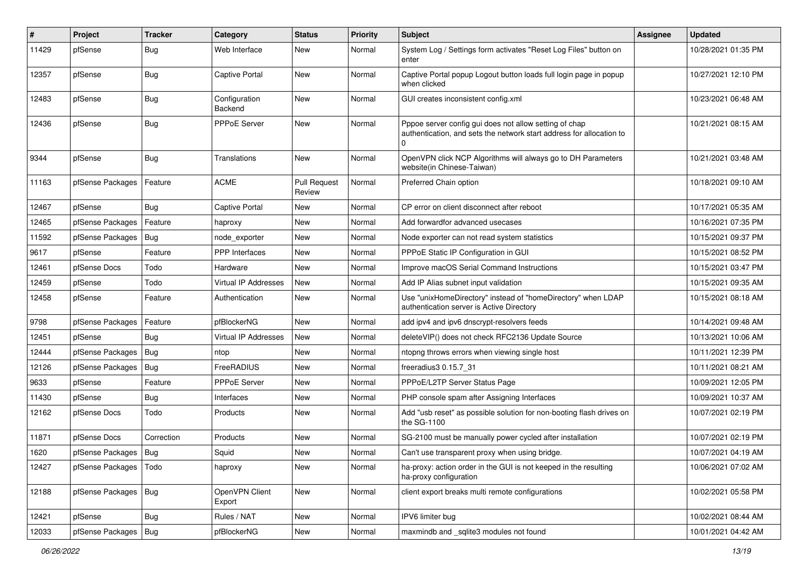| #     | Project                | <b>Tracker</b> | Category                 | <b>Status</b>                 | <b>Priority</b> | Subject                                                                                                                                    | <b>Assignee</b> | <b>Updated</b>      |
|-------|------------------------|----------------|--------------------------|-------------------------------|-----------------|--------------------------------------------------------------------------------------------------------------------------------------------|-----------------|---------------------|
| 11429 | pfSense                | <b>Bug</b>     | Web Interface            | New                           | Normal          | System Log / Settings form activates "Reset Log Files" button on<br>enter                                                                  |                 | 10/28/2021 01:35 PM |
| 12357 | pfSense                | <b>Bug</b>     | <b>Captive Portal</b>    | New                           | Normal          | Captive Portal popup Logout button loads full login page in popup<br>when clicked                                                          |                 | 10/27/2021 12:10 PM |
| 12483 | pfSense                | Bug            | Configuration<br>Backend | <b>New</b>                    | Normal          | GUI creates inconsistent config.xml                                                                                                        |                 | 10/23/2021 06:48 AM |
| 12436 | pfSense                | Bug            | PPPoE Server             | New                           | Normal          | Pppoe server config gui does not allow setting of chap<br>authentication, and sets the network start address for allocation to<br>$\Omega$ |                 | 10/21/2021 08:15 AM |
| 9344  | pfSense                | Bug            | Translations             | New                           | Normal          | OpenVPN click NCP Algorithms will always go to DH Parameters<br>website(in Chinese-Taiwan)                                                 |                 | 10/21/2021 03:48 AM |
| 11163 | pfSense Packages       | Feature        | <b>ACME</b>              | <b>Pull Request</b><br>Review | Normal          | Preferred Chain option                                                                                                                     |                 | 10/18/2021 09:10 AM |
| 12467 | pfSense                | Bug            | <b>Captive Portal</b>    | New                           | Normal          | CP error on client disconnect after reboot                                                                                                 |                 | 10/17/2021 05:35 AM |
| 12465 | pfSense Packages       | Feature        | haproxy                  | New                           | Normal          | Add forwardfor advanced usecases                                                                                                           |                 | 10/16/2021 07:35 PM |
| 11592 | pfSense Packages       | Bug            | node exporter            | New                           | Normal          | Node exporter can not read system statistics                                                                                               |                 | 10/15/2021 09:37 PM |
| 9617  | pfSense                | Feature        | <b>PPP</b> Interfaces    | New                           | Normal          | PPPoE Static IP Configuration in GUI                                                                                                       |                 | 10/15/2021 08:52 PM |
| 12461 | pfSense Docs           | Todo           | Hardware                 | <b>New</b>                    | Normal          | Improve macOS Serial Command Instructions                                                                                                  |                 | 10/15/2021 03:47 PM |
| 12459 | pfSense                | Todo           | Virtual IP Addresses     | New                           | Normal          | Add IP Alias subnet input validation                                                                                                       |                 | 10/15/2021 09:35 AM |
| 12458 | pfSense                | Feature        | Authentication           | New                           | Normal          | Use "unixHomeDirectory" instead of "homeDirectory" when LDAP<br>authentication server is Active Directory                                  |                 | 10/15/2021 08:18 AM |
| 9798  | pfSense Packages       | Feature        | pfBlockerNG              | New                           | Normal          | add ipv4 and ipv6 dnscrypt-resolvers feeds                                                                                                 |                 | 10/14/2021 09:48 AM |
| 12451 | pfSense                | Bug            | Virtual IP Addresses     | New                           | Normal          | deleteVIP() does not check RFC2136 Update Source                                                                                           |                 | 10/13/2021 10:06 AM |
| 12444 | pfSense Packages       | Bug            | ntop                     | New                           | Normal          | ntopng throws errors when viewing single host                                                                                              |                 | 10/11/2021 12:39 PM |
| 12126 | pfSense Packages       | Bug            | FreeRADIUS               | New                           | Normal          | freeradius3 0.15.7 31                                                                                                                      |                 | 10/11/2021 08:21 AM |
| 9633  | pfSense                | Feature        | <b>PPPoE Server</b>      | New                           | Normal          | PPPoE/L2TP Server Status Page                                                                                                              |                 | 10/09/2021 12:05 PM |
| 11430 | pfSense                | <b>Bug</b>     | Interfaces               | New                           | Normal          | PHP console spam after Assigning Interfaces                                                                                                |                 | 10/09/2021 10:37 AM |
| 12162 | pfSense Docs           | Todo           | Products                 | New                           | Normal          | Add "usb reset" as possible solution for non-booting flash drives on<br>the SG-1100                                                        |                 | 10/07/2021 02:19 PM |
| 11871 | pfSense Docs           | Correction     | Products                 | New                           | Normal          | SG-2100 must be manually power cycled after installation                                                                                   |                 | 10/07/2021 02:19 PM |
| 1620  | pfSense Packages   Bug |                | Squid                    | New                           | Normal          | Can't use transparent proxy when using bridge.                                                                                             |                 | 10/07/2021 04:19 AM |
| 12427 | pfSense Packages       | Todo           | haproxy                  | New                           | Normal          | ha-proxy: action order in the GUI is not keeped in the resulting<br>ha-proxy configuration                                                 |                 | 10/06/2021 07:02 AM |
| 12188 | pfSense Packages       | Bug            | OpenVPN Client<br>Export | New                           | Normal          | client export breaks multi remote configurations                                                                                           |                 | 10/02/2021 05:58 PM |
| 12421 | pfSense                | Bug            | Rules / NAT              | New                           | Normal          | IPV6 limiter bug                                                                                                                           |                 | 10/02/2021 08:44 AM |
| 12033 | pfSense Packages       | <b>Bug</b>     | pfBlockerNG              | New                           | Normal          | maxmindb and _sqlite3 modules not found                                                                                                    |                 | 10/01/2021 04:42 AM |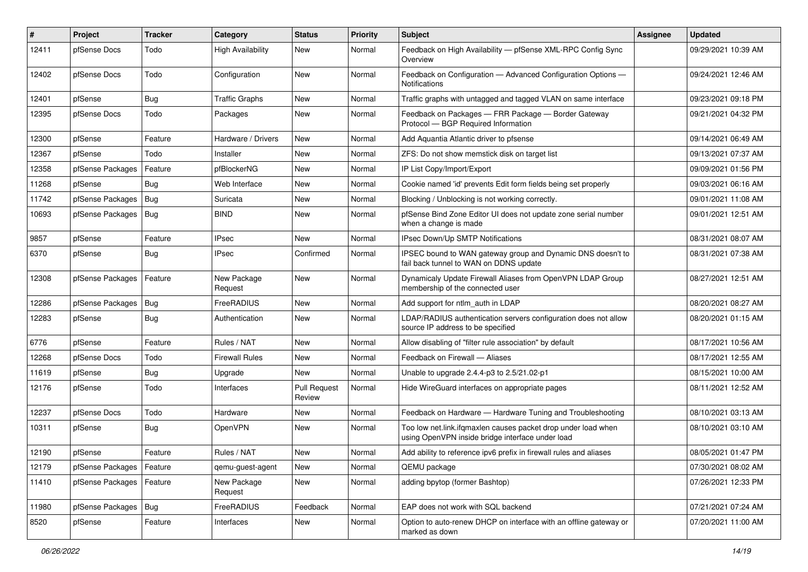| $\pmb{\#}$ | Project          | <b>Tracker</b> | Category                 | <b>Status</b>                 | Priority | <b>Subject</b>                                                                                                    | <b>Assignee</b> | <b>Updated</b>      |
|------------|------------------|----------------|--------------------------|-------------------------------|----------|-------------------------------------------------------------------------------------------------------------------|-----------------|---------------------|
| 12411      | pfSense Docs     | Todo           | <b>High Availability</b> | New                           | Normal   | Feedback on High Availability - pfSense XML-RPC Config Sync<br>Overview                                           |                 | 09/29/2021 10:39 AM |
| 12402      | pfSense Docs     | Todo           | Configuration            | <b>New</b>                    | Normal   | Feedback on Configuration - Advanced Configuration Options -<br><b>Notifications</b>                              |                 | 09/24/2021 12:46 AM |
| 12401      | pfSense          | Bug            | <b>Traffic Graphs</b>    | New                           | Normal   | Traffic graphs with untagged and tagged VLAN on same interface                                                    |                 | 09/23/2021 09:18 PM |
| 12395      | pfSense Docs     | Todo           | Packages                 | New                           | Normal   | Feedback on Packages - FRR Package - Border Gateway<br>Protocol - BGP Required Information                        |                 | 09/21/2021 04:32 PM |
| 12300      | pfSense          | Feature        | Hardware / Drivers       | New                           | Normal   | Add Aquantia Atlantic driver to pfsense                                                                           |                 | 09/14/2021 06:49 AM |
| 12367      | pfSense          | Todo           | Installer                | New                           | Normal   | ZFS: Do not show memstick disk on target list                                                                     |                 | 09/13/2021 07:37 AM |
| 12358      | pfSense Packages | Feature        | pfBlockerNG              | <b>New</b>                    | Normal   | IP List Copy/Import/Export                                                                                        |                 | 09/09/2021 01:56 PM |
| 11268      | pfSense          | Bug            | Web Interface            | New                           | Normal   | Cookie named 'id' prevents Edit form fields being set properly                                                    |                 | 09/03/2021 06:16 AM |
| 11742      | pfSense Packages | Bug            | Suricata                 | New                           | Normal   | Blocking / Unblocking is not working correctly.                                                                   |                 | 09/01/2021 11:08 AM |
| 10693      | pfSense Packages | Bug            | <b>BIND</b>              | New                           | Normal   | pfSense Bind Zone Editor UI does not update zone serial number<br>when a change is made                           |                 | 09/01/2021 12:51 AM |
| 9857       | pfSense          | Feature        | <b>IPsec</b>             | New                           | Normal   | IPsec Down/Up SMTP Notifications                                                                                  |                 | 08/31/2021 08:07 AM |
| 6370       | pfSense          | Bug            | <b>IPsec</b>             | Confirmed                     | Normal   | IPSEC bound to WAN gateway group and Dynamic DNS doesn't to<br>fail back tunnel to WAN on DDNS update             |                 | 08/31/2021 07:38 AM |
| 12308      | pfSense Packages | Feature        | New Package<br>Request   | <b>New</b>                    | Normal   | Dynamicaly Update Firewall Aliases from OpenVPN LDAP Group<br>membership of the connected user                    |                 | 08/27/2021 12:51 AM |
| 12286      | pfSense Packages | Bug            | FreeRADIUS               | New                           | Normal   | Add support for ntlm_auth in LDAP                                                                                 |                 | 08/20/2021 08:27 AM |
| 12283      | pfSense          | Bug            | Authentication           | New                           | Normal   | LDAP/RADIUS authentication servers configuration does not allow<br>source IP address to be specified              |                 | 08/20/2021 01:15 AM |
| 6776       | pfSense          | Feature        | Rules / NAT              | New                           | Normal   | Allow disabling of "filter rule association" by default                                                           |                 | 08/17/2021 10:56 AM |
| 12268      | pfSense Docs     | Todo           | <b>Firewall Rules</b>    | New                           | Normal   | Feedback on Firewall - Aliases                                                                                    |                 | 08/17/2021 12:55 AM |
| 11619      | pfSense          | Bug            | Upgrade                  | New                           | Normal   | Unable to upgrade 2.4.4-p3 to 2.5/21.02-p1                                                                        |                 | 08/15/2021 10:00 AM |
| 12176      | pfSense          | Todo           | Interfaces               | <b>Pull Request</b><br>Review | Normal   | Hide WireGuard interfaces on appropriate pages                                                                    |                 | 08/11/2021 12:52 AM |
| 12237      | pfSense Docs     | Todo           | Hardware                 | New                           | Normal   | Feedback on Hardware - Hardware Tuning and Troubleshooting                                                        |                 | 08/10/2021 03:13 AM |
| 10311      | pfSense          | Bug            | OpenVPN                  | New                           | Normal   | Too low net.link.ifgmaxlen causes packet drop under load when<br>using OpenVPN inside bridge interface under load |                 | 08/10/2021 03:10 AM |
| 12190      | pfSense          | Feature        | Rules / NAT              | New                           | Normal   | Add ability to reference ipv6 prefix in firewall rules and aliases                                                |                 | 08/05/2021 01:47 PM |
| 12179      | pfSense Packages | Feature        | qemu-guest-agent         | New                           | Normal   | QEMU package                                                                                                      |                 | 07/30/2021 08:02 AM |
| 11410      | pfSense Packages | Feature        | New Package<br>Request   | New                           | Normal   | adding bpytop (former Bashtop)                                                                                    |                 | 07/26/2021 12:33 PM |
| 11980      | pfSense Packages | Bug            | FreeRADIUS               | Feedback                      | Normal   | EAP does not work with SQL backend                                                                                |                 | 07/21/2021 07:24 AM |
| 8520       | pfSense          | Feature        | Interfaces               | New                           | Normal   | Option to auto-renew DHCP on interface with an offline gateway or<br>marked as down                               |                 | 07/20/2021 11:00 AM |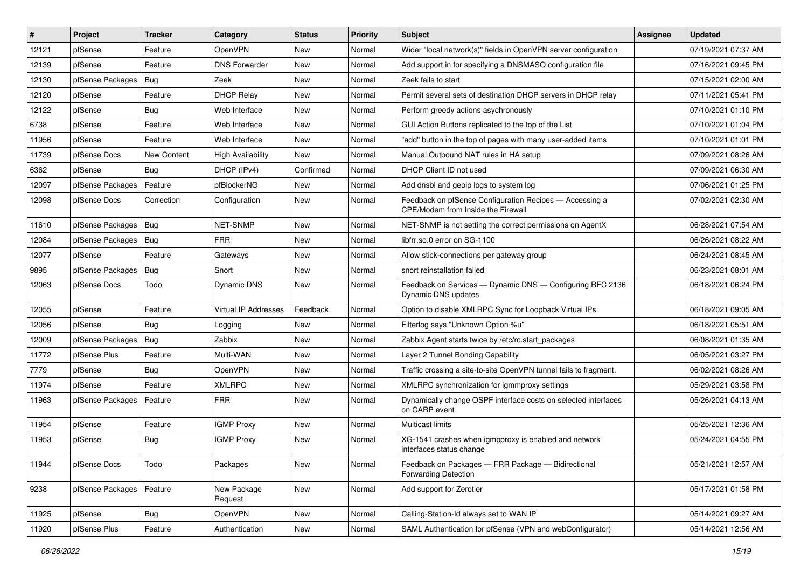| $\vert$ # | Project          | <b>Tracker</b> | Category                 | <b>Status</b> | <b>Priority</b> | Subject                                                                                       | <b>Assignee</b> | <b>Updated</b>      |
|-----------|------------------|----------------|--------------------------|---------------|-----------------|-----------------------------------------------------------------------------------------------|-----------------|---------------------|
| 12121     | pfSense          | Feature        | <b>OpenVPN</b>           | New           | Normal          | Wider "local network(s)" fields in OpenVPN server configuration                               |                 | 07/19/2021 07:37 AM |
| 12139     | pfSense          | Feature        | <b>DNS Forwarder</b>     | New           | Normal          | Add support in for specifying a DNSMASQ configuration file                                    |                 | 07/16/2021 09:45 PM |
| 12130     | pfSense Packages | <b>Bug</b>     | Zeek                     | New           | Normal          | Zeek fails to start                                                                           |                 | 07/15/2021 02:00 AM |
| 12120     | pfSense          | Feature        | <b>DHCP Relay</b>        | New           | Normal          | Permit several sets of destination DHCP servers in DHCP relay                                 |                 | 07/11/2021 05:41 PM |
| 12122     | pfSense          | Bug            | Web Interface            | New           | Normal          | Perform greedy actions asychronously                                                          |                 | 07/10/2021 01:10 PM |
| 6738      | pfSense          | Feature        | Web Interface            | New           | Normal          | GUI Action Buttons replicated to the top of the List                                          |                 | 07/10/2021 01:04 PM |
| 11956     | pfSense          | Feature        | Web Interface            | New           | Normal          | "add" button in the top of pages with many user-added items                                   |                 | 07/10/2021 01:01 PM |
| 11739     | pfSense Docs     | New Content    | <b>High Availability</b> | New           | Normal          | Manual Outbound NAT rules in HA setup                                                         |                 | 07/09/2021 08:26 AM |
| 6362      | pfSense          | Bug            | DHCP (IPv4)              | Confirmed     | Normal          | DHCP Client ID not used                                                                       |                 | 07/09/2021 06:30 AM |
| 12097     | pfSense Packages | Feature        | pfBlockerNG              | New           | Normal          | Add dnsbl and geoip logs to system log                                                        |                 | 07/06/2021 01:25 PM |
| 12098     | pfSense Docs     | Correction     | Configuration            | New           | Normal          | Feedback on pfSense Configuration Recipes - Accessing a<br>CPE/Modem from Inside the Firewall |                 | 07/02/2021 02:30 AM |
| 11610     | pfSense Packages | Bug            | NET-SNMP                 | New           | Normal          | NET-SNMP is not setting the correct permissions on AgentX                                     |                 | 06/28/2021 07:54 AM |
| 12084     | pfSense Packages | Bug            | <b>FRR</b>               | New           | Normal          | libfrr.so.0 error on SG-1100                                                                  |                 | 06/26/2021 08:22 AM |
| 12077     | pfSense          | Feature        | Gateways                 | New           | Normal          | Allow stick-connections per gateway group                                                     |                 | 06/24/2021 08:45 AM |
| 9895      | pfSense Packages | Bug            | Snort                    | New           | Normal          | snort reinstallation failed                                                                   |                 | 06/23/2021 08:01 AM |
| 12063     | pfSense Docs     | Todo           | Dynamic DNS              | New           | Normal          | Feedback on Services - Dynamic DNS - Configuring RFC 2136<br>Dynamic DNS updates              |                 | 06/18/2021 06:24 PM |
| 12055     | pfSense          | Feature        | Virtual IP Addresses     | Feedback      | Normal          | Option to disable XMLRPC Sync for Loopback Virtual IPs                                        |                 | 06/18/2021 09:05 AM |
| 12056     | pfSense          | <b>Bug</b>     | Logging                  | New           | Normal          | Filterlog says "Unknown Option %u"                                                            |                 | 06/18/2021 05:51 AM |
| 12009     | pfSense Packages | <b>Bug</b>     | Zabbix                   | New           | Normal          | Zabbix Agent starts twice by /etc/rc.start_packages                                           |                 | 06/08/2021 01:35 AM |
| 11772     | pfSense Plus     | Feature        | Multi-WAN                | New           | Normal          | Layer 2 Tunnel Bonding Capability                                                             |                 | 06/05/2021 03:27 PM |
| 7779      | pfSense          | <b>Bug</b>     | OpenVPN                  | New           | Normal          | Traffic crossing a site-to-site OpenVPN tunnel fails to fragment.                             |                 | 06/02/2021 08:26 AM |
| 11974     | pfSense          | Feature        | <b>XMLRPC</b>            | New           | Normal          | XMLRPC synchronization for igmmproxy settings                                                 |                 | 05/29/2021 03:58 PM |
| 11963     | pfSense Packages | Feature        | <b>FRR</b>               | New           | Normal          | Dynamically change OSPF interface costs on selected interfaces<br>on CARP event               |                 | 05/26/2021 04:13 AM |
| 11954     | pfSense          | Feature        | <b>IGMP Proxy</b>        | New           | Normal          | Multicast limits                                                                              |                 | 05/25/2021 12:36 AM |
| 11953     | pfSense          | <b>Bug</b>     | <b>IGMP Proxy</b>        | New           | Normal          | XG-1541 crashes when igmpproxy is enabled and network<br>interfaces status change             |                 | 05/24/2021 04:55 PM |
| 11944     | pfSense Docs     | Todo           | Packages                 | New           | Normal          | Feedback on Packages - FRR Package - Bidirectional<br><b>Forwarding Detection</b>             |                 | 05/21/2021 12:57 AM |
| 9238      | pfSense Packages | Feature        | New Package<br>Request   | New           | Normal          | Add support for Zerotier                                                                      |                 | 05/17/2021 01:58 PM |
| 11925     | pfSense          | <b>Bug</b>     | OpenVPN                  | New           | Normal          | Calling-Station-Id always set to WAN IP                                                       |                 | 05/14/2021 09:27 AM |
| 11920     | pfSense Plus     | Feature        | Authentication           | New           | Normal          | SAML Authentication for pfSense (VPN and webConfigurator)                                     |                 | 05/14/2021 12:56 AM |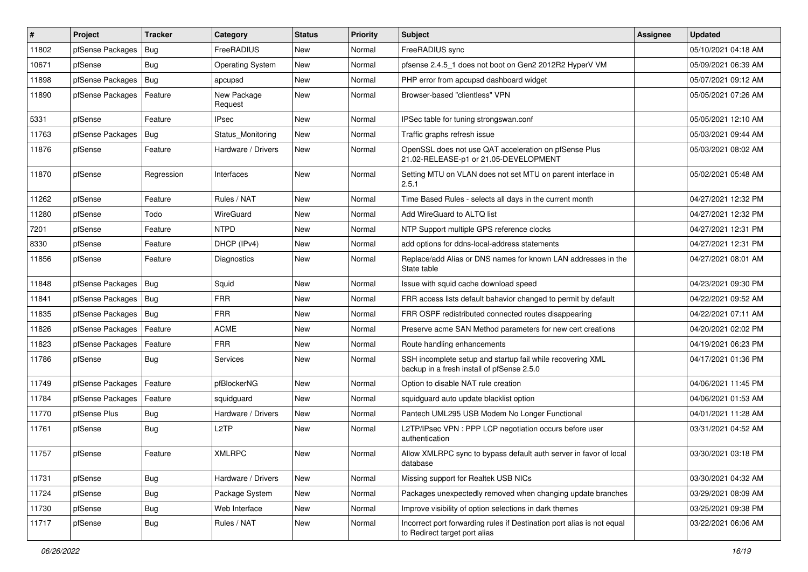| $\vert$ # | Project          | <b>Tracker</b> | Category                | <b>Status</b> | Priority | <b>Subject</b>                                                                                           | <b>Assignee</b> | <b>Updated</b>      |
|-----------|------------------|----------------|-------------------------|---------------|----------|----------------------------------------------------------------------------------------------------------|-----------------|---------------------|
| 11802     | pfSense Packages | Bug            | FreeRADIUS              | New           | Normal   | FreeRADIUS sync                                                                                          |                 | 05/10/2021 04:18 AM |
| 10671     | pfSense          | Bug            | <b>Operating System</b> | <b>New</b>    | Normal   | pfsense 2.4.5_1 does not boot on Gen2 2012R2 HyperV VM                                                   |                 | 05/09/2021 06:39 AM |
| 11898     | pfSense Packages | <b>Bug</b>     | apcupsd                 | New           | Normal   | PHP error from apcupsd dashboard widget                                                                  |                 | 05/07/2021 09:12 AM |
| 11890     | pfSense Packages | Feature        | New Package<br>Request  | New           | Normal   | Browser-based "clientless" VPN                                                                           |                 | 05/05/2021 07:26 AM |
| 5331      | pfSense          | Feature        | <b>IPsec</b>            | New           | Normal   | IPSec table for tuning strongswan.conf                                                                   |                 | 05/05/2021 12:10 AM |
| 11763     | pfSense Packages | Bug            | Status_Monitoring       | New           | Normal   | Traffic graphs refresh issue                                                                             |                 | 05/03/2021 09:44 AM |
| 11876     | pfSense          | Feature        | Hardware / Drivers      | New           | Normal   | OpenSSL does not use QAT acceleration on pfSense Plus<br>21.02-RELEASE-p1 or 21.05-DEVELOPMENT           |                 | 05/03/2021 08:02 AM |
| 11870     | pfSense          | Regression     | Interfaces              | New           | Normal   | Setting MTU on VLAN does not set MTU on parent interface in<br>2.5.1                                     |                 | 05/02/2021 05:48 AM |
| 11262     | pfSense          | Feature        | Rules / NAT             | New           | Normal   | Time Based Rules - selects all days in the current month                                                 |                 | 04/27/2021 12:32 PM |
| 11280     | pfSense          | Todo           | WireGuard               | New           | Normal   | Add WireGuard to ALTQ list                                                                               |                 | 04/27/2021 12:32 PM |
| 7201      | pfSense          | Feature        | <b>NTPD</b>             | New           | Normal   | NTP Support multiple GPS reference clocks                                                                |                 | 04/27/2021 12:31 PM |
| 8330      | pfSense          | Feature        | DHCP (IPv4)             | New           | Normal   | add options for ddns-local-address statements                                                            |                 | 04/27/2021 12:31 PM |
| 11856     | pfSense          | Feature        | Diagnostics             | New           | Normal   | Replace/add Alias or DNS names for known LAN addresses in the<br>State table                             |                 | 04/27/2021 08:01 AM |
| 11848     | pfSense Packages | Bug            | Squid                   | New           | Normal   | Issue with squid cache download speed                                                                    |                 | 04/23/2021 09:30 PM |
| 11841     | pfSense Packages | <b>Bug</b>     | <b>FRR</b>              | New           | Normal   | FRR access lists default bahavior changed to permit by default                                           |                 | 04/22/2021 09:52 AM |
| 11835     | pfSense Packages | Bug            | <b>FRR</b>              | New           | Normal   | FRR OSPF redistributed connected routes disappearing                                                     |                 | 04/22/2021 07:11 AM |
| 11826     | pfSense Packages | Feature        | <b>ACME</b>             | New           | Normal   | Preserve acme SAN Method parameters for new cert creations                                               |                 | 04/20/2021 02:02 PM |
| 11823     | pfSense Packages | Feature        | <b>FRR</b>              | New           | Normal   | Route handling enhancements                                                                              |                 | 04/19/2021 06:23 PM |
| 11786     | pfSense          | <b>Bug</b>     | <b>Services</b>         | New           | Normal   | SSH incomplete setup and startup fail while recovering XML<br>backup in a fresh install of pfSense 2.5.0 |                 | 04/17/2021 01:36 PM |
| 11749     | pfSense Packages | Feature        | pfBlockerNG             | New           | Normal   | Option to disable NAT rule creation                                                                      |                 | 04/06/2021 11:45 PM |
| 11784     | pfSense Packages | Feature        | squidguard              | New           | Normal   | squidguard auto update blacklist option                                                                  |                 | 04/06/2021 01:53 AM |
| 11770     | pfSense Plus     | <b>Bug</b>     | Hardware / Drivers      | New           | Normal   | Pantech UML295 USB Modem No Longer Functional                                                            |                 | 04/01/2021 11:28 AM |
| 11761     | pfSense          | <b>Bug</b>     | L <sub>2</sub> TP       | New           | Normal   | L2TP/IPsec VPN : PPP LCP negotiation occurs before user<br>authentication                                |                 | 03/31/2021 04:52 AM |
| 11757     | pfSense          | Feature        | <b>XMLRPC</b>           | New           | Normal   | Allow XMLRPC sync to bypass default auth server in favor of local<br>database                            |                 | 03/30/2021 03:18 PM |
| 11731     | pfSense          | Bug            | Hardware / Drivers      | New           | Normal   | Missing support for Realtek USB NICs                                                                     |                 | 03/30/2021 04:32 AM |
| 11724     | pfSense          | <b>Bug</b>     | Package System          | New           | Normal   | Packages unexpectedly removed when changing update branches                                              |                 | 03/29/2021 08:09 AM |
| 11730     | pfSense          | <b>Bug</b>     | Web Interface           | New           | Normal   | Improve visibility of option selections in dark themes                                                   |                 | 03/25/2021 09:38 PM |
| 11717     | pfSense          | Bug            | Rules / NAT             | New           | Normal   | Incorrect port forwarding rules if Destination port alias is not equal<br>to Redirect target port alias  |                 | 03/22/2021 06:06 AM |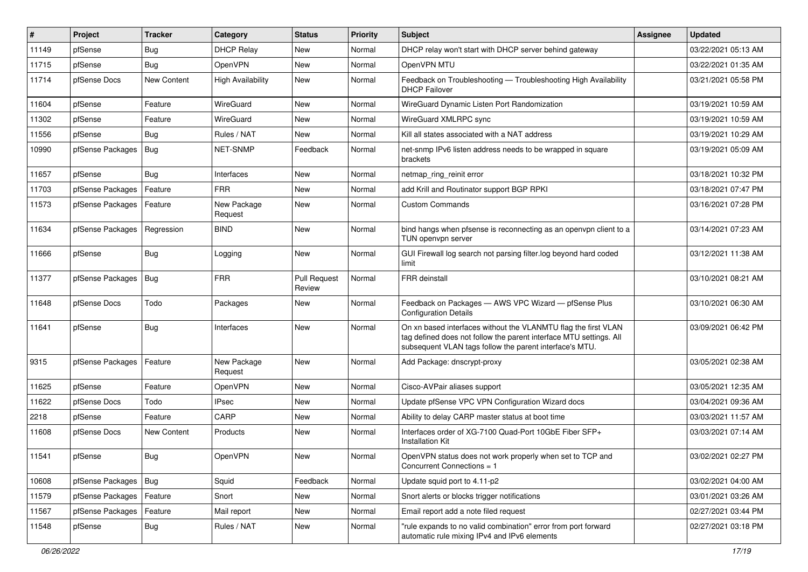| ∦     | Project          | <b>Tracker</b> | Category                 | <b>Status</b>                 | Priority | <b>Subject</b>                                                                                                                                                                                  | Assignee | <b>Updated</b>      |
|-------|------------------|----------------|--------------------------|-------------------------------|----------|-------------------------------------------------------------------------------------------------------------------------------------------------------------------------------------------------|----------|---------------------|
| 11149 | pfSense          | <b>Bug</b>     | <b>DHCP Relay</b>        | New                           | Normal   | DHCP relay won't start with DHCP server behind gateway                                                                                                                                          |          | 03/22/2021 05:13 AM |
| 11715 | pfSense          | <b>Bug</b>     | OpenVPN                  | New                           | Normal   | OpenVPN MTU                                                                                                                                                                                     |          | 03/22/2021 01:35 AM |
| 11714 | pfSense Docs     | New Content    | <b>High Availability</b> | New                           | Normal   | Feedback on Troubleshooting - Troubleshooting High Availability<br><b>DHCP Failover</b>                                                                                                         |          | 03/21/2021 05:58 PM |
| 11604 | pfSense          | Feature        | WireGuard                | New                           | Normal   | WireGuard Dynamic Listen Port Randomization                                                                                                                                                     |          | 03/19/2021 10:59 AM |
| 11302 | pfSense          | Feature        | WireGuard                | New                           | Normal   | WireGuard XMLRPC sync                                                                                                                                                                           |          | 03/19/2021 10:59 AM |
| 11556 | pfSense          | <b>Bug</b>     | Rules / NAT              | New                           | Normal   | Kill all states associated with a NAT address                                                                                                                                                   |          | 03/19/2021 10:29 AM |
| 10990 | pfSense Packages | <b>Bug</b>     | <b>NET-SNMP</b>          | Feedback                      | Normal   | net-snmp IPv6 listen address needs to be wrapped in square<br>brackets                                                                                                                          |          | 03/19/2021 05:09 AM |
| 11657 | pfSense          | Bug            | Interfaces               | New                           | Normal   | netmap_ring_reinit error                                                                                                                                                                        |          | 03/18/2021 10:32 PM |
| 11703 | pfSense Packages | Feature        | <b>FRR</b>               | New                           | Normal   | add Krill and Routinator support BGP RPKI                                                                                                                                                       |          | 03/18/2021 07:47 PM |
| 11573 | pfSense Packages | Feature        | New Package<br>Request   | New                           | Normal   | <b>Custom Commands</b>                                                                                                                                                                          |          | 03/16/2021 07:28 PM |
| 11634 | pfSense Packages | Regression     | <b>BIND</b>              | New                           | Normal   | bind hangs when pfsense is reconnecting as an openvpn client to a<br>TUN openvpn server                                                                                                         |          | 03/14/2021 07:23 AM |
| 11666 | pfSense          | <b>Bug</b>     | Logging                  | New                           | Normal   | GUI Firewall log search not parsing filter log beyond hard coded<br>limit                                                                                                                       |          | 03/12/2021 11:38 AM |
| 11377 | pfSense Packages | <b>Bug</b>     | <b>FRR</b>               | <b>Pull Request</b><br>Review | Normal   | <b>FRR</b> deinstall                                                                                                                                                                            |          | 03/10/2021 08:21 AM |
| 11648 | pfSense Docs     | Todo           | Packages                 | New                           | Normal   | Feedback on Packages - AWS VPC Wizard - pfSense Plus<br><b>Configuration Details</b>                                                                                                            |          | 03/10/2021 06:30 AM |
| 11641 | pfSense          | <b>Bug</b>     | Interfaces               | New                           | Normal   | On xn based interfaces without the VLANMTU flag the first VLAN<br>tag defined does not follow the parent interface MTU settings. All<br>subsequent VLAN tags follow the parent interface's MTU. |          | 03/09/2021 06:42 PM |
| 9315  | pfSense Packages | Feature        | New Package<br>Request   | New                           | Normal   | Add Package: dnscrypt-proxy                                                                                                                                                                     |          | 03/05/2021 02:38 AM |
| 11625 | pfSense          | Feature        | OpenVPN                  | New                           | Normal   | Cisco-AVPair aliases support                                                                                                                                                                    |          | 03/05/2021 12:35 AM |
| 11622 | pfSense Docs     | Todo           | <b>IPsec</b>             | New                           | Normal   | Update pfSense VPC VPN Configuration Wizard docs                                                                                                                                                |          | 03/04/2021 09:36 AM |
| 2218  | pfSense          | Feature        | CARP                     | New                           | Normal   | Ability to delay CARP master status at boot time                                                                                                                                                |          | 03/03/2021 11:57 AM |
| 11608 | pfSense Docs     | New Content    | Products                 | New                           | Normal   | Interfaces order of XG-7100 Quad-Port 10GbE Fiber SFP+<br>Installation Kit                                                                                                                      |          | 03/03/2021 07:14 AM |
| 11541 | pfSense          | <b>Bug</b>     | OpenVPN                  | New                           | Normal   | OpenVPN status does not work properly when set to TCP and<br>Concurrent Connections = 1                                                                                                         |          | 03/02/2021 02:27 PM |
| 10608 | pfSense Packages | Bug            | Squid                    | Feedback                      | Normal   | Update squid port to 4.11-p2                                                                                                                                                                    |          | 03/02/2021 04:00 AM |
| 11579 | pfSense Packages | Feature        | Snort                    | New                           | Normal   | Snort alerts or blocks trigger notifications                                                                                                                                                    |          | 03/01/2021 03:26 AM |
| 11567 | pfSense Packages | Feature        | Mail report              | New                           | Normal   | Email report add a note filed request                                                                                                                                                           |          | 02/27/2021 03:44 PM |
| 11548 | pfSense          | Bug            | Rules / NAT              | New                           | Normal   | "rule expands to no valid combination" error from port forward<br>automatic rule mixing IPv4 and IPv6 elements                                                                                  |          | 02/27/2021 03:18 PM |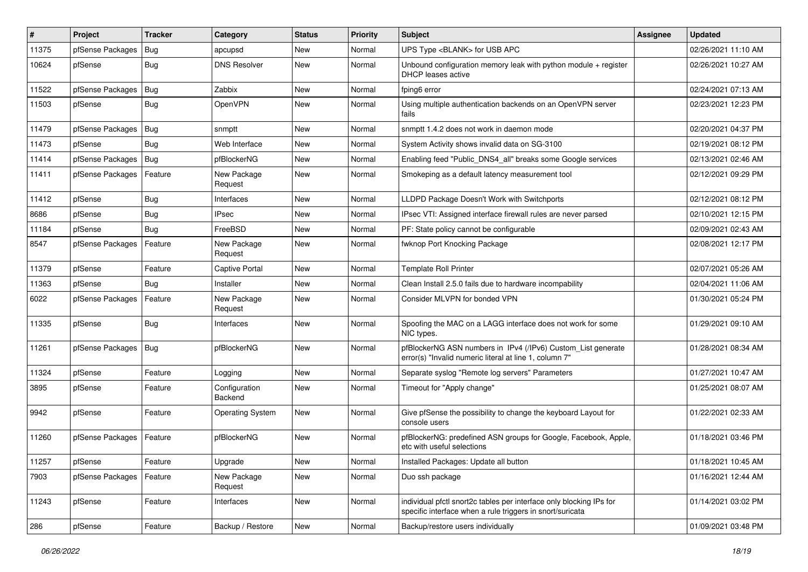| $\vert$ # | Project          | <b>Tracker</b> | Category                 | <b>Status</b> | <b>Priority</b> | Subject                                                                                                                          | <b>Assignee</b> | <b>Updated</b>      |
|-----------|------------------|----------------|--------------------------|---------------|-----------------|----------------------------------------------------------------------------------------------------------------------------------|-----------------|---------------------|
| 11375     | pfSense Packages | Bug            | apcupsd                  | New           | Normal          | UPS Type <blank> for USB APC</blank>                                                                                             |                 | 02/26/2021 11:10 AM |
| 10624     | pfSense          | <b>Bug</b>     | <b>DNS Resolver</b>      | New           | Normal          | Unbound configuration memory leak with python module + register<br><b>DHCP</b> leases active                                     |                 | 02/26/2021 10:27 AM |
| 11522     | pfSense Packages | Bug            | Zabbix                   | New           | Normal          | fping6 error                                                                                                                     |                 | 02/24/2021 07:13 AM |
| 11503     | pfSense          | Bug            | OpenVPN                  | New           | Normal          | Using multiple authentication backends on an OpenVPN server<br>fails                                                             |                 | 02/23/2021 12:23 PM |
| 11479     | pfSense Packages | Bug            | snmptt                   | New           | Normal          | snmptt 1.4.2 does not work in daemon mode                                                                                        |                 | 02/20/2021 04:37 PM |
| 11473     | pfSense          | <b>Bug</b>     | Web Interface            | New           | Normal          | System Activity shows invalid data on SG-3100                                                                                    |                 | 02/19/2021 08:12 PM |
| 11414     | pfSense Packages | Bug            | pfBlockerNG              | New           | Normal          | Enabling feed "Public_DNS4_all" breaks some Google services                                                                      |                 | 02/13/2021 02:46 AM |
| 11411     | pfSense Packages | Feature        | New Package<br>Request   | New           | Normal          | Smokeping as a default latency measurement tool                                                                                  |                 | 02/12/2021 09:29 PM |
| 11412     | pfSense          | Bug            | Interfaces               | New           | Normal          | LLDPD Package Doesn't Work with Switchports                                                                                      |                 | 02/12/2021 08:12 PM |
| 8686      | pfSense          | Bug            | <b>IPsec</b>             | New           | Normal          | IPsec VTI: Assigned interface firewall rules are never parsed                                                                    |                 | 02/10/2021 12:15 PM |
| 11184     | pfSense          | <b>Bug</b>     | FreeBSD                  | New           | Normal          | PF: State policy cannot be configurable                                                                                          |                 | 02/09/2021 02:43 AM |
| 8547      | pfSense Packages | Feature        | New Package<br>Request   | New           | Normal          | fwknop Port Knocking Package                                                                                                     |                 | 02/08/2021 12:17 PM |
| 11379     | pfSense          | Feature        | Captive Portal           | New           | Normal          | <b>Template Roll Printer</b>                                                                                                     |                 | 02/07/2021 05:26 AM |
| 11363     | pfSense          | <b>Bug</b>     | Installer                | New           | Normal          | Clean Install 2.5.0 fails due to hardware incompability                                                                          |                 | 02/04/2021 11:06 AM |
| 6022      | pfSense Packages | Feature        | New Package<br>Request   | New           | Normal          | Consider MLVPN for bonded VPN                                                                                                    |                 | 01/30/2021 05:24 PM |
| 11335     | pfSense          | <b>Bug</b>     | Interfaces               | New           | Normal          | Spoofing the MAC on a LAGG interface does not work for some<br>NIC types.                                                        |                 | 01/29/2021 09:10 AM |
| 11261     | pfSense Packages | $ $ Bug        | pfBlockerNG              | New           | Normal          | pfBlockerNG ASN numbers in IPv4 (/IPv6) Custom_List generate<br>error(s) "Invalid numeric literal at line 1, column 7"           |                 | 01/28/2021 08:34 AM |
| 11324     | pfSense          | Feature        | Logging                  | New           | Normal          | Separate syslog "Remote log servers" Parameters                                                                                  |                 | 01/27/2021 10:47 AM |
| 3895      | pfSense          | Feature        | Configuration<br>Backend | New           | Normal          | Timeout for "Apply change"                                                                                                       |                 | 01/25/2021 08:07 AM |
| 9942      | pfSense          | Feature        | <b>Operating System</b>  | New           | Normal          | Give pfSense the possibility to change the keyboard Layout for<br>console users                                                  |                 | 01/22/2021 02:33 AM |
| 11260     | pfSense Packages | Feature        | pfBlockerNG              | New           | Normal          | pfBlockerNG: predefined ASN groups for Google, Facebook, Apple,<br>etc with useful selections                                    |                 | 01/18/2021 03:46 PM |
| 11257     | pfSense          | Feature        | Upgrade                  | New           | Normal          | Installed Packages: Update all button                                                                                            |                 | 01/18/2021 10:45 AM |
| 7903      | pfSense Packages | Feature        | New Package<br>Request   | New           | Normal          | Duo ssh package                                                                                                                  |                 | 01/16/2021 12:44 AM |
| 11243     | pfSense          | Feature        | Interfaces               | New           | Normal          | individual pfctl snort2c tables per interface only blocking IPs for<br>specific interface when a rule triggers in snort/suricata |                 | 01/14/2021 03:02 PM |
| 286       | pfSense          | Feature        | Backup / Restore         | New           | Normal          | Backup/restore users individually                                                                                                |                 | 01/09/2021 03:48 PM |